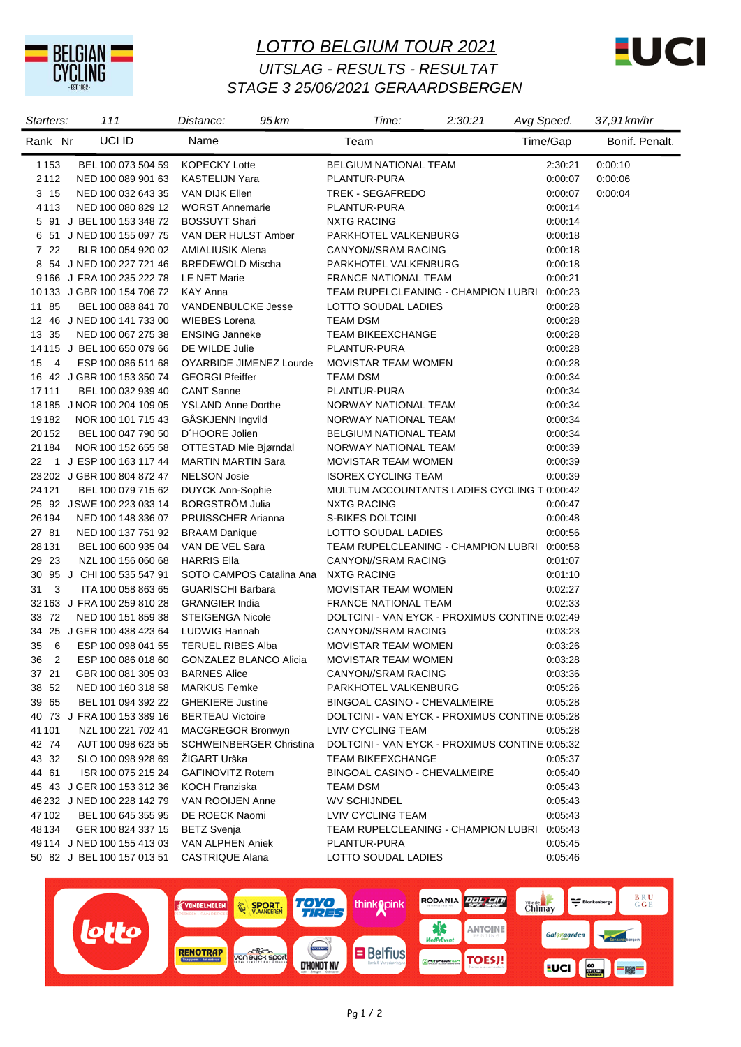

## *LOTTO BELGIUM TOUR 2021 STAGE 3 25/06/2021 GERAARDSBERGEN UITSLAG - RESULTS - RESULTAT*



| Starters:            | 111                             | 95 km<br>Distance:             | Time:                                          | 2:30:21 | Avg Speed. | 37,91 km/hr    |
|----------------------|---------------------------------|--------------------------------|------------------------------------------------|---------|------------|----------------|
| Rank Nr              | UCI ID                          | Name                           | Team                                           |         | Time/Gap   | Bonif. Penalt. |
| 1153                 | BEL 100 073 504 59              | <b>KOPECKY Lotte</b>           | <b>BELGIUM NATIONAL TEAM</b>                   |         | 2:30:21    | 0:00:10        |
| 2112                 | NED 100 089 901 63              | <b>KASTELIJN Yara</b>          | PLANTUR-PURA                                   |         | 0:00:07    | 0.00.06        |
| 3 15                 | NED 100 032 643 35              | <b>VAN DIJK Ellen</b>          | TREK - SEGAFREDO                               |         | 0:00:07    | 0:00:04        |
| 4113                 | NED 100 080 829 12              | <b>WORST Annemarie</b>         | PLANTUR-PURA                                   |         | 0:00:14    |                |
|                      | 5 91 J BEL 100 153 348 72       | <b>BOSSUYT Shari</b>           | <b>NXTG RACING</b>                             |         | 0:00:14    |                |
| 6                    | 51 J NED 100 155 097 75         | VAN DER HULST Amber            | PARKHOTEL VALKENBURG                           |         | 0:00:18    |                |
| 7 22                 | BLR 100 054 920 02              | <b>AMIALIUSIK Alena</b>        | CANYON//SRAM RACING                            |         | 0:00:18    |                |
|                      | 8 54 J NED 100 227 721 46       | <b>BREDEWOLD Mischa</b>        | PARKHOTEL VALKENBURG                           |         | 0:00:18    |                |
|                      | 9166 J FRA 100 235 222 78       | LE NET Marie                   | <b>FRANCE NATIONAL TEAM</b>                    |         | 0:00:21    |                |
|                      | 10133 J GBR 100 154 706 72      | <b>KAY Anna</b>                | TEAM RUPELCLEANING - CHAMPION LUBRI            |         | 0:00:23    |                |
| 11 85                | BEL 100 088 841 70              | <b>VANDENBULCKE Jesse</b>      | LOTTO SOUDAL LADIES                            |         | 0:00:28    |                |
|                      | 12 46 J NED 100 141 733 00      | <b>WIEBES Lorena</b>           | <b>TEAM DSM</b>                                |         | 0:00:28    |                |
| 13 35                | NED 100 067 275 38              | <b>ENSING Janneke</b>          | <b>TEAM BIKEEXCHANGE</b>                       |         | 0:00:28    |                |
|                      | 14 115 J BEL 100 650 079 66     | DE WILDE Julie                 | PLANTUR-PURA                                   |         | 0:00:28    |                |
| 15<br>$\overline{4}$ | ESP 100 086 511 68              | OYARBIDE JIMENEZ Lourde        | <b>MOVISTAR TEAM WOMEN</b>                     |         | 0:00:28    |                |
|                      | 16 42 J GBR 100 153 350 74      | <b>GEORGI Pfeiffer</b>         | <b>TEAM DSM</b>                                |         | 0:00:34    |                |
| 17111                | BEL 100 032 939 40              | <b>CANT Sanne</b>              | PLANTUR-PURA                                   |         | 0:00:34    |                |
|                      | 18 185 J NOR 100 204 109 05     | <b>YSLAND Anne Dorthe</b>      | NORWAY NATIONAL TEAM                           |         | 0:00:34    |                |
| 19182                | NOR 100 101 715 43              | GÅSKJENN Ingvild               | NORWAY NATIONAL TEAM                           |         | 0:00:34    |                |
| 20152                | BEL 100 047 790 50              | D'HOORE Jolien                 | <b>BELGIUM NATIONAL TEAM</b>                   |         | 0:00:34    |                |
| 21184                | NOR 100 152 655 58              | OTTESTAD Mie Bjørndal          | NORWAY NATIONAL TEAM                           |         | 0:00:39    |                |
| 22                   | 1 J ESP 100 163 117 44          | <b>MARTIN MARTIN Sara</b>      | <b>MOVISTAR TEAM WOMEN</b>                     |         | 0:00:39    |                |
|                      | 23 202 J GBR 100 804 872 47     | <b>NELSON Josie</b>            | <b>ISOREX CYCLING TEAM</b>                     |         | 0:00:39    |                |
| 24 1 21              | BEL 100 079 715 62              | <b>DUYCK Ann-Sophie</b>        | MULTUM ACCOUNTANTS LADIES CYCLING T 0:00:42    |         |            |                |
|                      | 25 92 JSWE 100 223 033 14       | <b>BORGSTROM Julia</b>         | <b>NXTG RACING</b>                             |         | 0:00:47    |                |
| 26194                | NED 100 148 336 07              | <b>PRUISSCHER Arianna</b>      | S-BIKES DOLTCINI                               |         | 0:00:48    |                |
| 27 81                | NED 100 137 751 92              | <b>BRAAM Danique</b>           | LOTTO SOUDAL LADIES                            |         | 0:00:56    |                |
| 28 1 31              | BEL 100 600 935 04              | VAN DE VEL Sara                | TEAM RUPELCLEANING - CHAMPION LUBRI 0:00:58    |         |            |                |
| 29 23                | NZL 100 156 060 68              | <b>HARRIS Ella</b>             | CANYON//SRAM RACING                            |         | 0.01:07    |                |
|                      | 30 95 J CHI 100 535 547 91      | SOTO CAMPOS Catalina Ana       | <b>NXTG RACING</b>                             |         | 0.01:10    |                |
| 31 3                 | ITA 100 058 863 65              | <b>GUARISCHI Barbara</b>       | <b>MOVISTAR TEAM WOMEN</b>                     |         | 0.02:27    |                |
|                      | 32 163 J FRA 100 259 810 28     | <b>GRANGIER India</b>          | <b>FRANCE NATIONAL TEAM</b>                    |         | 0.02:33    |                |
| 33 72                | NED 100 151 859 38              | <b>STEIGENGA Nicole</b>        | DOLTCINI - VAN EYCK - PROXIMUS CONTINE 0:02:49 |         |            |                |
|                      | 34 25 J GER 100 438 423 64      | LUDWIG Hannah                  | CANYON//SRAM RACING                            |         | 0:03:23    |                |
| 35<br>- 6            | ESP 100 098 041 55              | <b>TERUEL RIBES Alba</b>       | MOVISTAR TEAM WOMEN                            |         | 0:03:26    |                |
| $\overline{2}$<br>36 | ESP 100 086 018 60              | <b>GONZALEZ BLANCO Alicia</b>  | <b>MOVISTAR TEAM WOMEN</b>                     |         | 0:03:28    |                |
| 37 21                | GBR 100 081 305 03 BARNES Alice |                                | CANYON//SRAM RACING                            |         | 0:03:36    |                |
| 38 52                | NED 100 160 318 58              | <b>MARKUS Femke</b>            | PARKHOTEL VALKENBURG                           |         | 0:05:26    |                |
| 39 65                | BEL 101 094 392 22              | <b>GHEKIERE Justine</b>        | BINGOAL CASINO - CHEVALMEIRE                   |         | 0:05:28    |                |
|                      | 40 73 J FRA 100 153 389 16      | <b>BERTEAU Victoire</b>        | DOLTCINI - VAN EYCK - PROXIMUS CONTINE 0:05:28 |         |            |                |
| 41 101               | NZL 100 221 702 41              | MACGREGOR Bronwyn              | LVIV CYCLING TEAM                              |         | 0:05:28    |                |
|                      |                                 |                                |                                                |         |            |                |
| 42 74                | AUT 100 098 623 55              | <b>SCHWEINBERGER Christina</b> | DOLTCINI - VAN EYCK - PROXIMUS CONTINE 0:05:32 |         |            |                |
| 43 32                | SLO 100 098 928 69              | ŽIGART Urška                   | TEAM BIKEEXCHANGE                              |         | 0:05:37    |                |
| 44 61                | ISR 100 075 215 24              | <b>GAFINOVITZ Rotem</b>        | BINGOAL CASINO - CHEVALMEIRE                   |         | 0.05:40    |                |
|                      | 45 43 J GER 100 153 312 36      | KOCH Franziska                 | TEAM DSM                                       |         | 0:05:43    |                |
|                      | 46 232 J NED 100 228 142 79     | VAN ROOIJEN Anne               | <b>WV SCHIJNDEL</b>                            |         | 0:05:43    |                |
| 47102                | BEL 100 645 355 95              | DE ROECK Naomi                 | LVIV CYCLING TEAM                              |         | 0:05:43    |                |
| 48 134               | GER 100 824 337 15              | <b>BETZ Svenja</b>             | TEAM RUPELCLEANING - CHAMPION LUBRI 0:05:43    |         |            |                |
|                      | 49 114 J NED 100 155 413 03     | VAN ALPHEN Aniek               | PLANTUR-PURA                                   |         | 0:05:45    |                |
|                      | 50 82 J BEL 100 157 013 51      | CASTRIQUE Alana                | LOTTO SOUDAL LADIES                            |         | 0:05:46    |                |

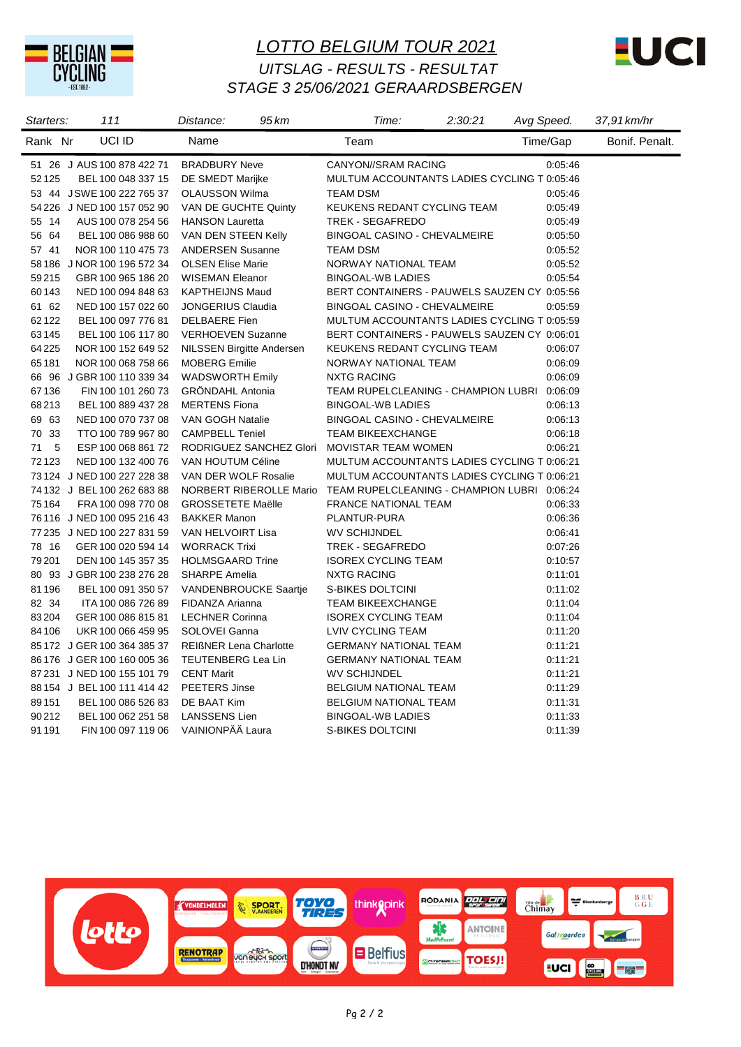

## *LOTTO BELGIUM TOUR 2021 STAGE 3 25/06/2021 GERAARDSBERGEN UITSLAG - RESULTS - RESULTAT*



| Starters: | 111                         | 95 km<br>Distance:                                                  | Time:                                       | 2:30:21 | Avg Speed. | 37,91 km/hr    |
|-----------|-----------------------------|---------------------------------------------------------------------|---------------------------------------------|---------|------------|----------------|
| Rank Nr   | UCI ID                      | Name                                                                | Team                                        |         | Time/Gap   | Bonif. Penalt. |
|           | 51 26 J AUS 100 878 422 71  | <b>BRADBURY Neve</b>                                                | CANYON//SRAM RACING                         |         | 0.05:46    |                |
| 52125     | BEL 100 048 337 15          | DE SMEDT Marijke                                                    | MULTUM ACCOUNTANTS LADIES CYCLING T 0:05:46 |         |            |                |
|           | 53 44 JSWE 100 222 765 37   | OLAUSSON Wilma                                                      | TEAM DSM                                    |         | 0.05.46    |                |
|           | 54 226 J NED 100 157 052 90 | VAN DE GUCHTE Quinty                                                | KEUKENS REDANT CYCLING TEAM                 |         | 0:05:49    |                |
| 55 14     | AUS 100 078 254 56          | <b>HANSON Lauretta</b>                                              | TREK - SEGAFREDO                            |         | 0:05:49    |                |
| 56 64     | BEL 100 086 988 60          | VAN DEN STEEN Kelly                                                 | <b>BINGOAL CASINO - CHEVALMEIRE</b>         |         | 0:05:50    |                |
| 57 41     | NOR 100 110 475 73          | <b>ANDERSEN Susanne</b>                                             | <b>TEAM DSM</b>                             |         | 0:05:52    |                |
|           | 58 186 J NOR 100 196 572 34 | <b>OLSEN Elise Marie</b>                                            | NORWAY NATIONAL TEAM                        |         | 0:05:52    |                |
| 59215     | GBR 100 965 186 20          | <b>WISEMAN Eleanor</b>                                              | <b>BINGOAL-WB LADIES</b>                    |         | 0:05:54    |                |
| 60143     | NED 100 094 848 63          | <b>KAPTHEIJNS Maud</b>                                              | BERT CONTAINERS - PAUWELS SAUZEN CY 0:05:56 |         |            |                |
| 61 62     | NED 100 157 022 60          | <b>JONGERIUS Claudia</b>                                            | BINGOAL CASINO - CHEVALMEIRE                |         | 0:05:59    |                |
| 62122     | BEL 100 097 776 81          | <b>DELBAERE</b> Fien                                                | MULTUM ACCOUNTANTS LADIES CYCLING T 0:05:59 |         |            |                |
| 63145     | BEL 100 106 117 80          | <b>VERHOEVEN Suzanne</b>                                            | BERT CONTAINERS - PAUWELS SAUZEN CY 0:06:01 |         |            |                |
| 64225     | NOR 100 152 649 52          | <b>NILSSEN Birgitte Andersen</b>                                    | KEUKENS REDANT CYCLING TEAM                 |         | 0:06:07    |                |
| 65181     | NOR 100 068 758 66          | <b>MOBERG Emilie</b>                                                | NORWAY NATIONAL TEAM                        |         | 0:06:09    |                |
|           | 66 96 J GBR 100 110 339 34  | <b>WADSWORTH Emily</b>                                              | <b>NXTG RACING</b>                          |         | 0:06:09    |                |
| 67136     | FIN 100 101 260 73          | <b>GRÖNDAHL Antonia</b>                                             | TEAM RUPELCLEANING - CHAMPION LUBRI 0:06:09 |         |            |                |
| 68213     | BEL 100 889 437 28          | <b>MERTENS Fiona</b>                                                | <b>BINGOAL-WB LADIES</b>                    |         | 0:06:13    |                |
| 69 63     | NED 100 070 737 08          | VAN GOGH Natalie                                                    | <b>BINGOAL CASINO - CHEVALMEIRE</b>         |         | 0:06:13    |                |
| 70 33     | TTO 100 789 967 80          | <b>CAMPBELL Teniel</b>                                              | <b>TEAM BIKEEXCHANGE</b>                    |         | 0:06:18    |                |
| 71<br>5   | ESP 100 068 861 72          | RODRIGUEZ SANCHEZ Glori MOVISTAR TEAM WOMEN                         |                                             |         | 0:06:21    |                |
| 72123     | NED 100 132 400 76          | VAN HOUTUM Céline                                                   | MULTUM ACCOUNTANTS LADIES CYCLING T 0:06:21 |         |            |                |
|           | 73 124 J NED 100 227 228 38 | VAN DER WOLF Rosalie                                                | MULTUM ACCOUNTANTS LADIES CYCLING T 0:06:21 |         |            |                |
|           | 74 132 J BEL 100 262 683 88 | NORBERT RIBEROLLE Mario TEAM RUPELCLEANING - CHAMPION LUBRI 0:06:24 |                                             |         |            |                |
| 75 1 64   | FRA 100 098 770 08          | <b>GROSSETETE Maëlle</b>                                            | <b>FRANCE NATIONAL TEAM</b>                 |         | 0:06:33    |                |
|           | 76 116 J NED 100 095 216 43 | <b>BAKKER Manon</b>                                                 | PLANTUR-PURA                                |         | 0:06:36    |                |
|           | 77 235 J NED 100 227 831 59 | VAN HELVOIRT Lisa                                                   | <b>WV SCHIJNDEL</b>                         |         | 0:06:41    |                |
| 78 16     | GER 100 020 594 14          | <b>WORRACK Trixi</b>                                                | TREK - SEGAFREDO                            |         | 0:07:26    |                |
| 79201     | DEN 100 145 357 35          | <b>HOLMSGAARD Trine</b>                                             | <b>ISOREX CYCLING TEAM</b>                  |         | 0:10:57    |                |
|           | 80 93 J GBR 100 238 276 28  | <b>SHARPE Amelia</b>                                                | <b>NXTG RACING</b>                          |         | 0.11:01    |                |
| 81196     | BEL 100 091 350 57          | <b>VANDENBROUCKE Saartje</b>                                        | S-BIKES DOLTCINI                            |         | 0:11:02    |                |
| 82 34     | ITA 100 086 726 89          | FIDANZA Arianna                                                     | <b>TEAM BIKEEXCHANGE</b>                    |         | 0:11:04    |                |
| 83204     | GER 100 086 815 81          | <b>LECHNER Corinna</b>                                              | <b>ISOREX CYCLING TEAM</b>                  |         | 0:11:04    |                |
| 84106     | UKR 100 066 459 95          | SOLOVEI Ganna                                                       | LVIV CYCLING TEAM                           |         | 0:11:20    |                |
|           | 85 172 J GER 100 364 385 37 | <b>REIGNER Lena Charlotte</b>                                       | <b>GERMANY NATIONAL TEAM</b>                |         | 0:11:21    |                |
|           | 86 176 J GER 100 160 005 36 | TEUTENBERG Lea Lin                                                  | <b>GERMANY NATIONAL TEAM</b>                |         | 0:11:21    |                |
|           | 87 231 J NED 100 155 101 79 | <b>CENT Marit</b>                                                   | <b>WV SCHIJNDEL</b>                         |         | 0:11:21    |                |
|           | 88 154 J BEL 100 111 414 42 | PEETERS Jinse                                                       | <b>BELGIUM NATIONAL TEAM</b>                |         | 0:11:29    |                |
| 89151     | BEL 100 086 526 83          | DE BAAT Kim                                                         | <b>BELGIUM NATIONAL TEAM</b>                |         | 0:11:31    |                |
| 90212     | BEL 100 062 251 58          | <b>LANSSENS Lien</b>                                                | <b>BINGOAL-WB LADIES</b>                    |         | 0:11:33    |                |
| 91 1 91   | FIN 100 097 119 06          | VAINIONPÄÄ Laura                                                    | S-BIKES DOLTCINI                            |         | 0:11:39    |                |

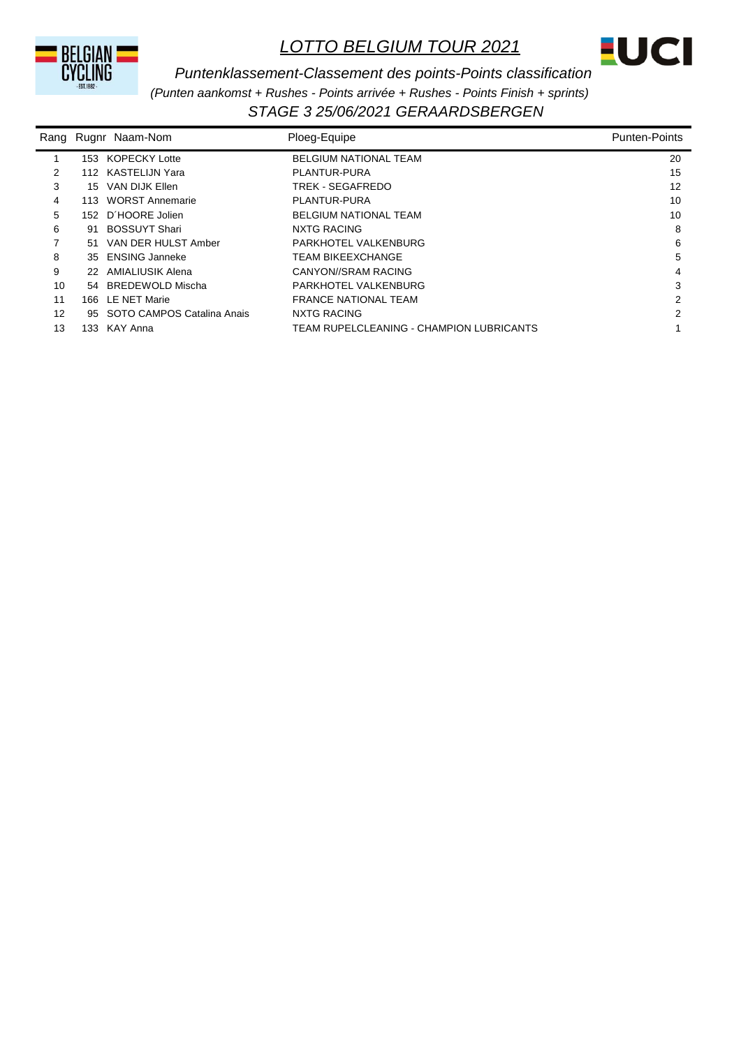



*STAGE 3 25/06/2021 GERAARDSBERGEN Puntenklassement-Classement des points-Points classification (Punten aankomst + Rushes - Points arrivée + Rushes - Points Finish + sprints)*

| Rang |     | Rugnr Naam-Nom             | Ploeg-Equipe                             | <b>Punten-Points</b> |
|------|-----|----------------------------|------------------------------------------|----------------------|
|      | 153 | KOPECKY Lotte              | <b>BELGIUM NATIONAL TEAM</b>             | 20                   |
| 2    |     | 112 KASTELIJN Yara         | PLANTUR-PURA                             | 15                   |
| 3    | 15  | VAN DIJK Ellen             | TREK - SEGAFREDO                         | 12                   |
| 4    |     | 113 WORST Annemarie        | PLANTUR-PURA                             | 10                   |
| 5    | 152 | D'HOORE Jolien             | <b>BELGIUM NATIONAL TEAM</b>             | 10                   |
| 6    | 91  | <b>BOSSUYT Shari</b>       | NXTG RACING                              | 8                    |
| 7    | .51 | VAN DER HULST Amber        | PARKHOTEL VALKENBURG                     | 6                    |
| 8    | 35  | <b>ENSING Janneke</b>      | <b>TEAM BIKEEXCHANGE</b>                 | 5                    |
| 9    |     | 22 AMIALIUSIK Alena        | CANYON//SRAM RACING                      | 4                    |
| 10   | 54  | BREDEWOLD Mischa           | PARKHOTEL VALKENBURG                     | 3                    |
| 11   | 166 | LE NET Marie               | <b>FRANCE NATIONAL TEAM</b>              | 2                    |
| 12   | 95  | SOTO CAMPOS Catalina Anais | NXTG RACING                              | 2                    |
| 13   | 133 | KAY Anna                   | TEAM RUPELCLEANING - CHAMPION LUBRICANTS |                      |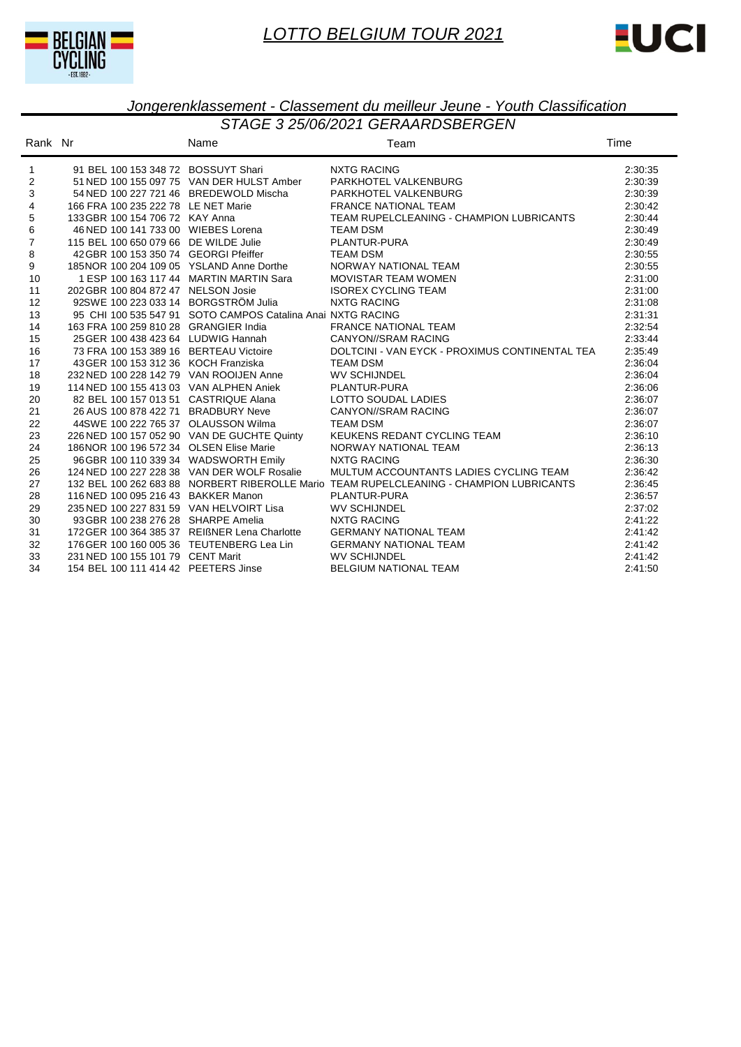



| Rank Nr      |                                               | Name                                                        | Team                                                                                    | Time    |
|--------------|-----------------------------------------------|-------------------------------------------------------------|-----------------------------------------------------------------------------------------|---------|
| $\mathbf{1}$ | 91 BEL 100 153 348 72 BOSSUYT Shari           |                                                             | <b>NXTG RACING</b>                                                                      | 2:30:35 |
| 2            |                                               | 51 NED 100 155 097 75 VAN DER HULST Amber                   | PARKHOTEL VALKENBURG                                                                    | 2:30:39 |
| 3            | 54 NED 100 227 721 46 BREDEWOLD Mischa        |                                                             | PARKHOTEL VALKENBURG                                                                    | 2:30:39 |
| 4            | 166 FRA 100 235 222 78 LE NET Marie           |                                                             | <b>FRANCE NATIONAL TEAM</b>                                                             | 2:30:42 |
| 5            | 133 GBR 100 154 706 72 KAY Anna               |                                                             | TEAM RUPELCLEANING - CHAMPION LUBRICANTS                                                | 2:30:44 |
| 6            | 46 NED 100 141 733 00 WIEBES Lorena           |                                                             | <b>TEAM DSM</b>                                                                         | 2:30:49 |
| 7            | 115 BEL 100 650 079 66 DE WILDE Julie         |                                                             | PLANTUR-PURA                                                                            | 2:30:49 |
| 8            | 42 GBR 100 153 350 74 GEORGI Pfeiffer         |                                                             | <b>TEAM DSM</b>                                                                         | 2:30:55 |
| 9            | 185NOR 100 204 109 05 YSLAND Anne Dorthe      |                                                             | NORWAY NATIONAL TEAM                                                                    | 2:30:55 |
| 10           |                                               | 1 ESP 100 163 117 44 MARTIN MARTIN Sara                     | <b>MOVISTAR TEAM WOMEN</b>                                                              | 2:31:00 |
| 11           | 202 GBR 100 804 872 47 NELSON Josie           |                                                             | <b>ISOREX CYCLING TEAM</b>                                                              | 2:31:00 |
| 12           | 92SWE 100 223 033 14 BORGSTRÖM Julia          |                                                             | <b>NXTG RACING</b>                                                                      | 2:31:08 |
| 13           |                                               | 95 CHI 100 535 547 91 SOTO CAMPOS Catalina Anai NXTG RACING |                                                                                         | 2:31:31 |
| 14           | 163 FRA 100 259 810 28 GRANGIER India         |                                                             | <b>FRANCE NATIONAL TEAM</b>                                                             | 2:32:54 |
| 15           | 25 GER 100 438 423 64 LUDWIG Hannah           |                                                             | <b>CANYON//SRAM RACING</b>                                                              | 2:33:44 |
| 16           | 73 FRA 100 153 389 16 BERTEAU Victoire        |                                                             | DOLTCINI - VAN EYCK - PROXIMUS CONTINENTAL TEA                                          | 2:35:49 |
| 17           | 43 GER 100 153 312 36 KOCH Franziska          |                                                             | <b>TEAM DSM</b>                                                                         | 2:36:04 |
| 18           | 232 NED 100 228 142 79 VAN ROOIJEN Anne       |                                                             | <b>WV SCHIJNDEL</b>                                                                     | 2:36:04 |
| 19           | 114 NED 100 155 413 03 VAN ALPHEN Aniek       |                                                             | PLANTUR-PURA                                                                            | 2:36:06 |
| 20           | 82 BEL 100 157 013 51 CASTRIQUE Alana         |                                                             | LOTTO SOUDAL LADIES                                                                     | 2:36:07 |
| 21           | 26 AUS 100 878 422 71 BRADBURY Neve           |                                                             | <b>CANYON//SRAM RACING</b>                                                              | 2:36:07 |
| 22           | 44SWE 100 222 765 37 OLAUSSON Wilma           |                                                             | <b>TEAM DSM</b>                                                                         | 2:36:07 |
| 23           |                                               | 226 NED 100 157 052 90 VAN DE GUCHTE Quinty                 | KEUKENS REDANT CYCLING TEAM                                                             | 2:36:10 |
| 24           | 186NOR 100 196 572 34 OLSEN Elise Marie       |                                                             | NORWAY NATIONAL TEAM                                                                    | 2:36:13 |
| 25           | 96 GBR 100 110 339 34 WADSWORTH Emily         |                                                             | <b>NXTG RACING</b>                                                                      | 2:36:30 |
| 26           |                                               | 124 NED 100 227 228 38 VAN DER WOLF Rosalie                 | MULTUM ACCOUNTANTS LADIES CYCLING TEAM                                                  | 2:36:42 |
| 27           |                                               |                                                             | 132 BEL 100 262 683 88 NORBERT RIBEROLLE Mario TEAM RUPELCLEANING - CHAMPION LUBRICANTS | 2:36:45 |
| 28           | 116 NED 100 095 216 43 BAKKER Manon           |                                                             | PLANTUR-PURA                                                                            | 2:36:57 |
| 29           | 235 NED 100 227 831 59 VAN HELVOIRT Lisa      |                                                             | <b>WV SCHIJNDEL</b>                                                                     | 2:37:02 |
| 30           | 93 GBR 100 238 276 28 SHARPE Amelia           |                                                             | <b>NXTG RACING</b>                                                                      | 2:41:22 |
| 31           | 172 GER 100 364 385 37 REIßNER Lena Charlotte |                                                             | <b>GERMANY NATIONAL TEAM</b>                                                            | 2:41:42 |
| 32           | 176 GER 100 160 005 36 TEUTENBERG Lea Lin     |                                                             | <b>GERMANY NATIONAL TEAM</b>                                                            | 2:41:42 |
| 33           | 231 NED 100 155 101 79 CENT Marit             |                                                             | <b>WV SCHIJNDEL</b>                                                                     | 2:41:42 |
| 34           | 154 BEL 100 111 414 42 PEETERS Jinse          |                                                             | <b>BELGIUM NATIONAL TEAM</b>                                                            | 2:41:50 |
|              |                                               |                                                             |                                                                                         |         |

#### *STAGE 3 25/06/2021 GERAARDSBERGEN Jongerenklassement - Classement du meilleur Jeune - Youth Classification*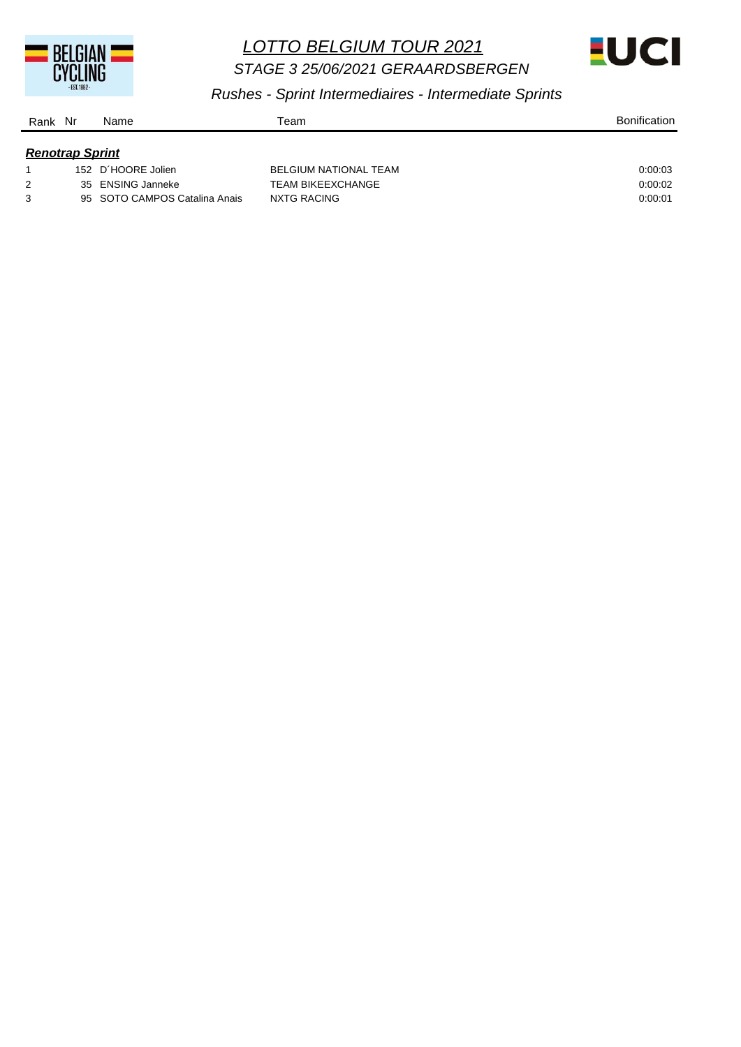

*STAGE 3 25/06/2021 GERAARDSBERGEN* 



*Rushes - Sprint Intermediaires - Intermediate Sprints*

| Nr<br>Rank             | Name                          | Team                         | <b>Bonification</b> |
|------------------------|-------------------------------|------------------------------|---------------------|
| <b>Renotrap Sprint</b> |                               |                              |                     |
|                        | 152 D'HOORE Jolien            | <b>BELGIUM NATIONAL TEAM</b> | 0.00.03             |
| 2                      | 35 ENSING Janneke             | <b>TEAM BIKEEXCHANGE</b>     | 0:00:02             |
| 3                      | 95 SOTO CAMPOS Catalina Anais | NXTG RACING                  | 0:00:01             |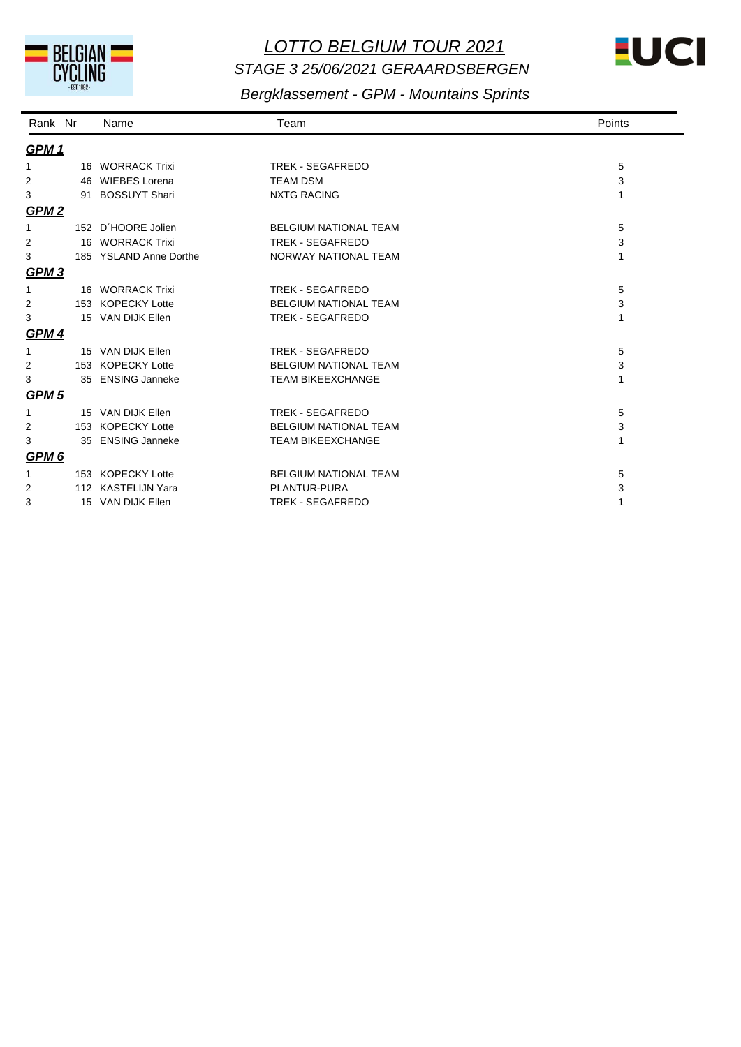

# *LOTTO BELGIUM TOUR 2021 STAGE 3 25/06/2021 GERAARDSBERGEN*



## *Bergklassement - GPM - Mountains Sprints*

| Rank Nr          | Name                   | Team                         | Points |
|------------------|------------------------|------------------------------|--------|
| <b>GPM1</b>      |                        |                              |        |
| 1                | 16 WORRACK Trixi       | <b>TREK - SEGAFREDO</b>      | 5      |
| 2                | 46 WIEBES Lorena       | <b>TEAM DSM</b>              | 3      |
| 3                | 91 BOSSUYT Shari       | <b>NXTG RACING</b>           | 1      |
| GPM <sub>2</sub> |                        |                              |        |
| 1                | 152 D'HOORE Jolien     | <b>BELGIUM NATIONAL TEAM</b> | 5      |
| 2                | 16 WORRACK Trixi       | <b>TREK - SEGAFREDO</b>      | 3      |
| 3                | 185 YSLAND Anne Dorthe | NORWAY NATIONAL TEAM         | 1      |
| <b>GPM3</b>      |                        |                              |        |
| $\mathbf{1}$     | 16 WORRACK Trixi       | <b>TREK - SEGAFREDO</b>      | 5      |
| 2                | 153 KOPECKY Lotte      | <b>BELGIUM NATIONAL TEAM</b> | 3      |
| 3                | 15 VAN DIJK Ellen      | <b>TREK - SEGAFREDO</b>      | 1      |
| <b>GPM4</b>      |                        |                              |        |
| 1                | 15 VAN DIJK Ellen      | <b>TREK - SEGAFREDO</b>      | 5      |
| 2                | 153 KOPECKY Lotte      | <b>BELGIUM NATIONAL TEAM</b> | 3      |
| 3                | 35 ENSING Janneke      | <b>TEAM BIKEEXCHANGE</b>     | 1      |
| <b>GPM 5</b>     |                        |                              |        |
| 1                | 15 VAN DIJK Ellen      | <b>TREK - SEGAFREDO</b>      | 5      |
| 2                | 153 KOPECKY Lotte      | <b>BELGIUM NATIONAL TEAM</b> | 3      |
| 3                | 35 ENSING Janneke      | <b>TEAM BIKEEXCHANGE</b>     | 1      |
| GPM <sub>6</sub> |                        |                              |        |
| 1                | 153 KOPECKY Lotte      | <b>BELGIUM NATIONAL TEAM</b> | 5      |
| 2                | 112 KASTELIJN Yara     | PLANTUR-PURA                 | 3      |
| 3                | 15 VAN DIJK Ellen      | <b>TREK - SEGAFREDO</b>      | 1      |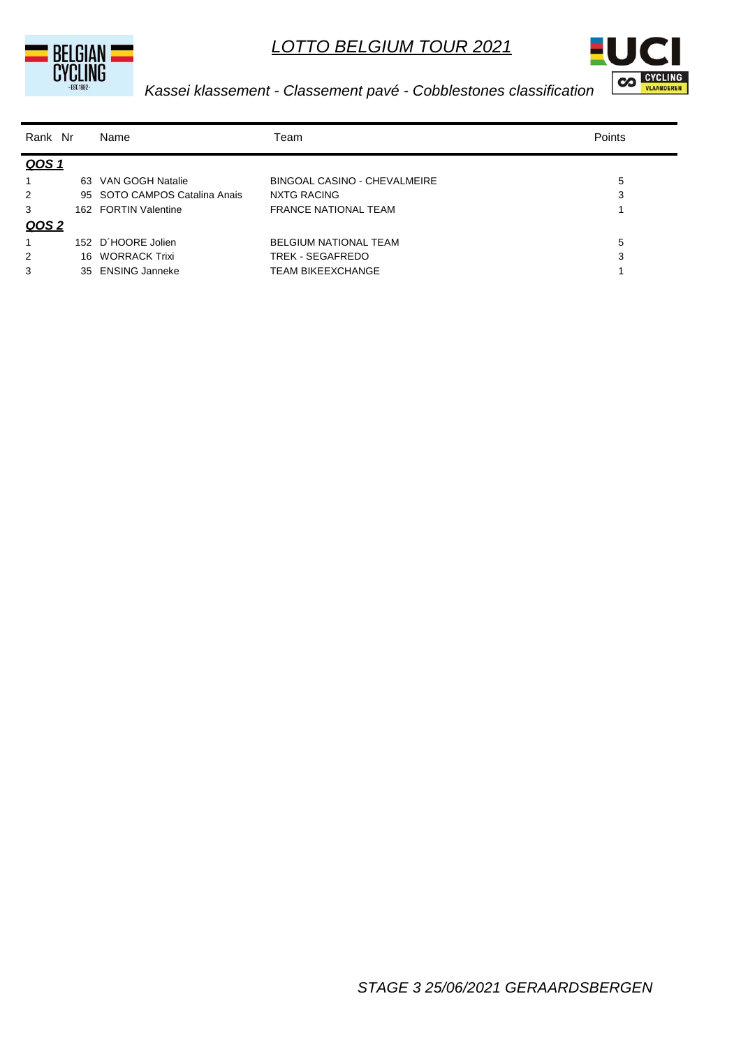





### *Kassei klassement - Classement pavé - Cobblestones classification*

| Rank Nr        |     | Name                          | Team                         | Points |
|----------------|-----|-------------------------------|------------------------------|--------|
| QOS 1          |     |                               |                              |        |
| 1              | 63  | VAN GOGH Natalie              | BINGOAL CASINO - CHEVALMEIRE | 5      |
| 2              |     | 95 SOTO CAMPOS Catalina Anais | NXTG RACING                  | 3      |
| 3              |     | 162 FORTIN Valentine          | <b>FRANCE NATIONAL TEAM</b>  |        |
| QOS 2          |     |                               |                              |        |
| 1              | 152 | D'HOORE Jolien                | <b>BELGIUM NATIONAL TEAM</b> | 5      |
| $\overline{2}$ |     | 16 WORRACK Trixi              | TREK - SEGAFREDO             | 3      |
| 3              |     | 35 ENSING Janneke             | <b>TEAM BIKEEXCHANGE</b>     |        |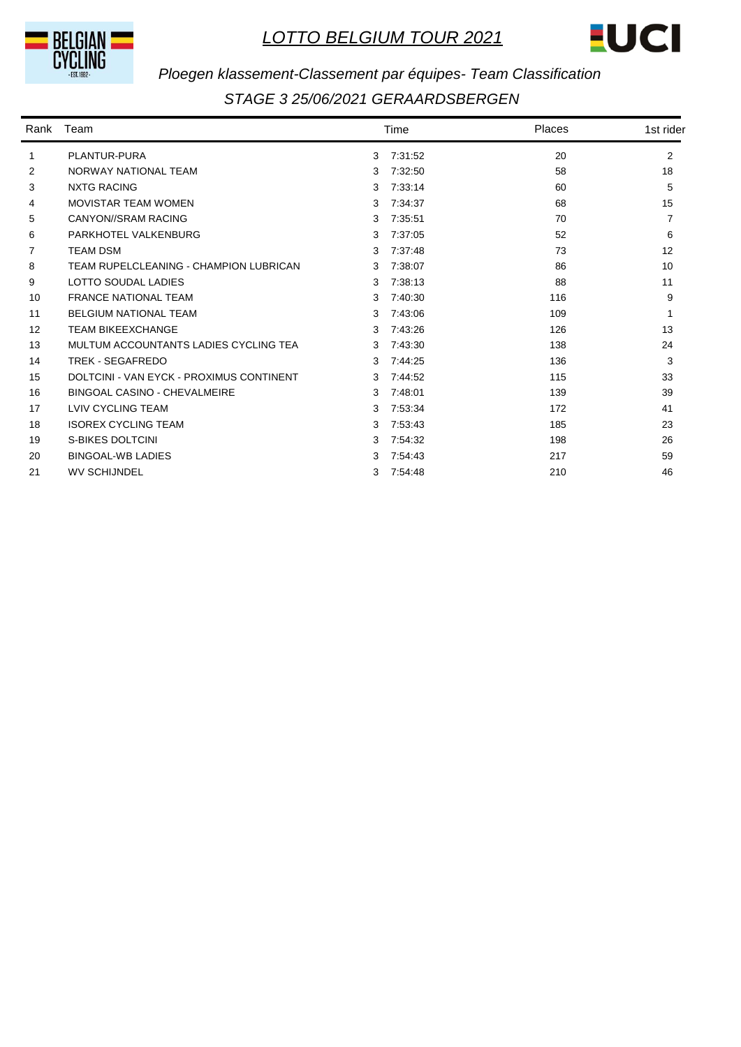



## *Ploegen klassement-Classement par équipes- Team Classification*

| Rank | Team                                     |   | Time    | Places | 1st rider |
|------|------------------------------------------|---|---------|--------|-----------|
| 1    | PLANTUR-PURA                             | 3 | 7:31:52 | 20     | 2         |
| 2    | NORWAY NATIONAL TEAM                     | 3 | 7:32:50 | 58     | 18        |
| 3    | <b>NXTG RACING</b>                       | 3 | 7:33:14 | 60     | 5         |
| 4    | <b>MOVISTAR TEAM WOMEN</b>               | 3 | 7:34:37 | 68     | 15        |
| 5    | CANYON//SRAM RACING                      | 3 | 7:35:51 | 70     |           |
| 6    | PARKHOTEL VALKENBURG                     | 3 | 7:37:05 | 52     | 6         |
| 7    | <b>TEAM DSM</b>                          | 3 | 7:37:48 | 73     | 12        |
| 8    | TEAM RUPELCLEANING - CHAMPION LUBRICAN   | 3 | 7:38:07 | 86     | 10        |
| 9    | LOTTO SOUDAL LADIES                      | 3 | 7:38:13 | 88     | 11        |
| 10   | <b>FRANCE NATIONAL TEAM</b>              | 3 | 7:40:30 | 116    | 9         |
| 11   | <b>BELGIUM NATIONAL TEAM</b>             | 3 | 7:43:06 | 109    |           |
| 12   | <b>TEAM BIKEEXCHANGE</b>                 | 3 | 7:43:26 | 126    | 13        |
| 13   | MULTUM ACCOUNTANTS LADIES CYCLING TEA    | 3 | 7:43:30 | 138    | 24        |
| 14   | TREK - SEGAFREDO                         | 3 | 7:44:25 | 136    | 3         |
| 15   | DOLTCINI - VAN EYCK - PROXIMUS CONTINENT | 3 | 7:44:52 | 115    | 33        |
| 16   | <b>BINGOAL CASINO - CHEVALMEIRE</b>      | 3 | 7:48:01 | 139    | 39        |
| 17   | <b>LVIV CYCLING TEAM</b>                 | 3 | 7:53:34 | 172    | 41        |
| 18   | <b>ISOREX CYCLING TEAM</b>               | 3 | 7:53:43 | 185    | 23        |
| 19   | S-BIKES DOLTCINI                         | 3 | 7:54:32 | 198    | 26        |
| 20   | <b>BINGOAL-WB LADIES</b>                 | 3 | 7:54:43 | 217    | 59        |
| 21   | <b>WV SCHIJNDEL</b>                      | 3 | 7:54:48 | 210    | 46        |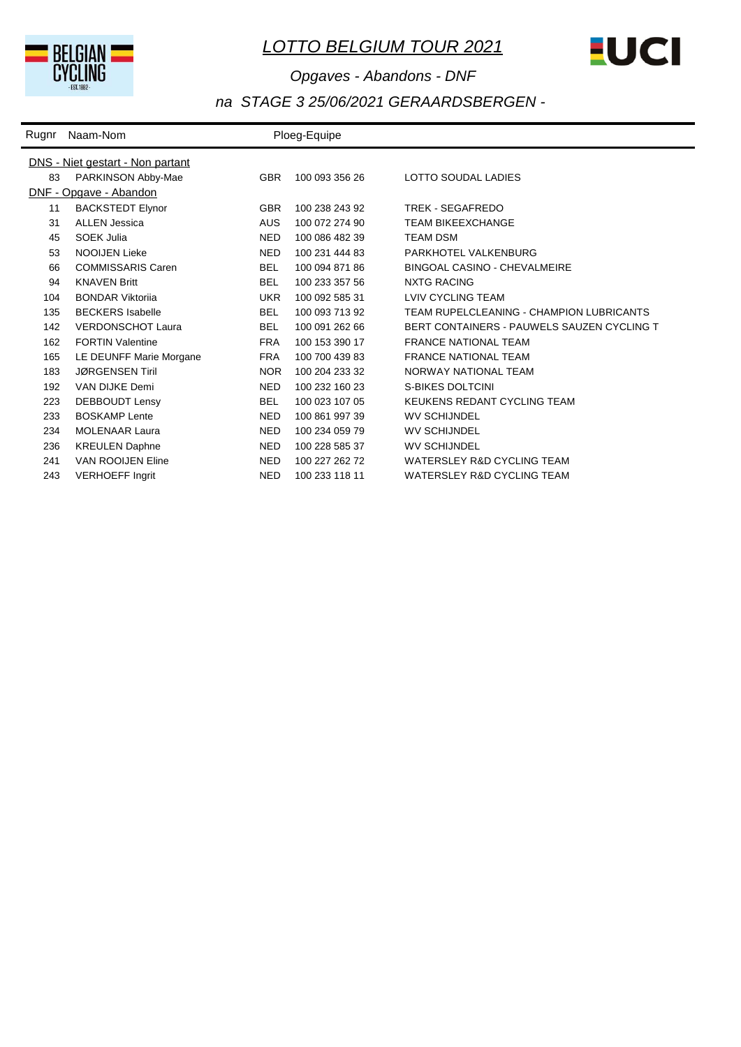



# *Opgaves - Abandons - DNF na STAGE 3 25/06/2021 GERAARDSBERGEN -*

| Rugnr | Naam-Nom                                |            | Ploeg-Equipe   |                                            |  |  |  |  |
|-------|-----------------------------------------|------------|----------------|--------------------------------------------|--|--|--|--|
|       | <b>DNS</b> - Niet gestart - Non partant |            |                |                                            |  |  |  |  |
| 83    | PARKINSON Abby-Mae                      | <b>GBR</b> | 100 093 356 26 | LOTTO SOUDAL LADIES                        |  |  |  |  |
|       | DNF - Opgave - Abandon                  |            |                |                                            |  |  |  |  |
| 11    | <b>BACKSTEDT Elynor</b>                 | <b>GBR</b> | 100 238 243 92 | TREK - SEGAFREDO                           |  |  |  |  |
| 31    | <b>ALLEN Jessica</b>                    | <b>AUS</b> | 100 072 274 90 | <b>TEAM BIKEEXCHANGE</b>                   |  |  |  |  |
| 45    | <b>SOEK Julia</b>                       | <b>NED</b> | 100 086 482 39 | <b>TEAM DSM</b>                            |  |  |  |  |
| 53    | <b>NOOIJEN Lieke</b>                    | <b>NED</b> | 100 231 444 83 | PARKHOTEL VALKENBURG                       |  |  |  |  |
| 66    | <b>COMMISSARIS Caren</b>                | <b>BEL</b> | 100 094 871 86 | <b>BINGOAL CASINO - CHEVALMEIRE</b>        |  |  |  |  |
| 94    | <b>KNAVEN Britt</b>                     | <b>BEL</b> | 100 233 357 56 | <b>NXTG RACING</b>                         |  |  |  |  |
| 104   | <b>BONDAR Viktorija</b>                 | <b>UKR</b> | 100 092 585 31 | <b>LVIV CYCLING TEAM</b>                   |  |  |  |  |
| 135   | <b>BECKERS</b> Isabelle                 | <b>BEL</b> | 100 093 713 92 | TEAM RUPELCLEANING - CHAMPION LUBRICANTS   |  |  |  |  |
| 142   | <b>VERDONSCHOT Laura</b>                | <b>BEL</b> | 100 091 262 66 | BERT CONTAINERS - PAUWELS SAUZEN CYCLING T |  |  |  |  |
| 162   | <b>FORTIN Valentine</b>                 | <b>FRA</b> | 100 153 390 17 | <b>FRANCE NATIONAL TEAM</b>                |  |  |  |  |
| 165   | LE DEUNFF Marie Morgane                 | <b>FRA</b> | 100 700 439 83 | <b>FRANCE NATIONAL TEAM</b>                |  |  |  |  |
| 183   | <b>JØRGENSEN Tiril</b>                  | <b>NOR</b> | 100 204 233 32 | NORWAY NATIONAL TEAM                       |  |  |  |  |
| 192   | VAN DIJKE Demi                          | <b>NED</b> | 100 232 160 23 | S-BIKES DOLTCINI                           |  |  |  |  |
| 223   | DEBBOUDT Lensy                          | <b>BEL</b> | 100 023 107 05 | KEUKENS REDANT CYCLING TEAM                |  |  |  |  |
| 233   | <b>BOSKAMP</b> Lente                    | <b>NED</b> | 100 861 997 39 | <b>WV SCHIJNDEL</b>                        |  |  |  |  |
| 234   | <b>MOLENAAR Laura</b>                   | <b>NED</b> | 100 234 059 79 | <b>WV SCHIJNDEL</b>                        |  |  |  |  |
| 236   | <b>KREULEN Daphne</b>                   | <b>NED</b> | 100 228 585 37 | <b>WV SCHIJNDEL</b>                        |  |  |  |  |
| 241   | <b>VAN ROOIJEN Eline</b>                | <b>NED</b> | 100 227 262 72 | WATERSLEY R&D CYCLING TEAM                 |  |  |  |  |
| 243   | <b>VERHOEFF Ingrit</b>                  | <b>NED</b> | 100 233 118 11 | WATERSLEY R&D CYCLING TEAM                 |  |  |  |  |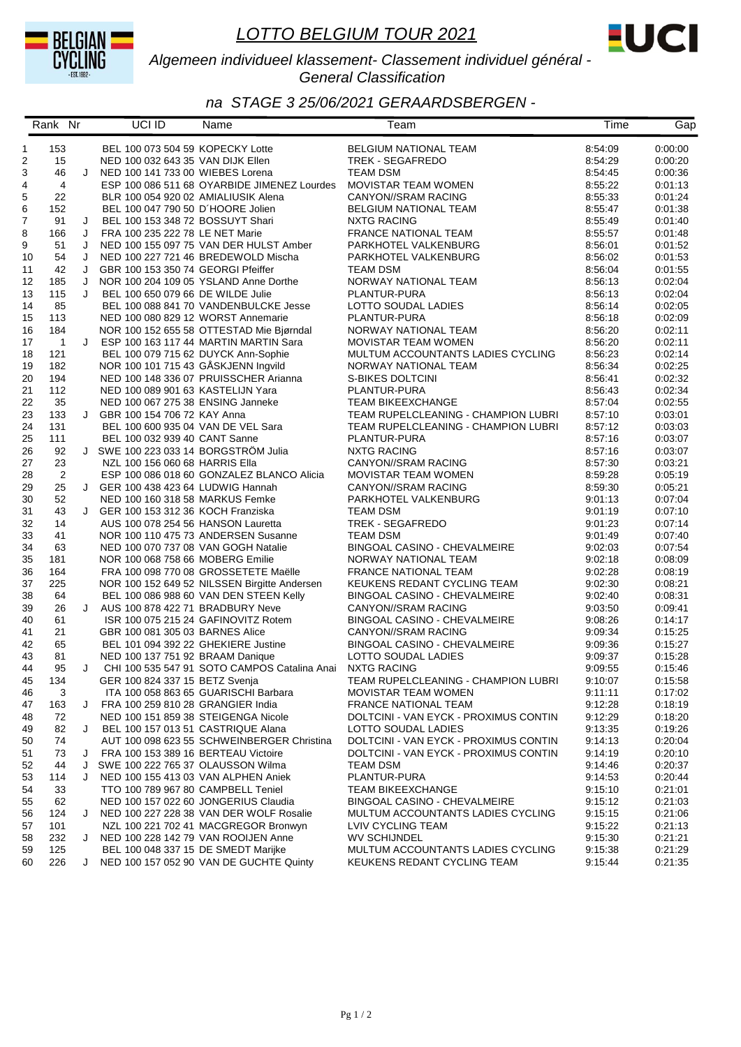



#### *Algemeen individueel klassement- Classement individuel général - General Classification*

|    | Rank Nr                    |   | UCI ID                               | Name                                         | Team                                  | Time    | Gap     |
|----|----------------------------|---|--------------------------------------|----------------------------------------------|---------------------------------------|---------|---------|
| 1  | 153                        |   | BEL 100 073 504 59 KOPECKY Lotte     |                                              | BELGIUM NATIONAL TEAM                 | 8:54:09 | 0:00:00 |
| 2  | 15                         |   | NED 100 032 643 35 VAN DIJK Ellen    |                                              | TREK - SEGAFREDO                      | 8:54:29 | 0:00:20 |
| 3  | 46                         | J | NED 100 141 733 00 WIEBES Lorena     |                                              | <b>TEAM DSM</b>                       | 8:54:45 | 0:00:36 |
| 4  | 4                          |   |                                      | ESP 100 086 511 68 OYARBIDE JIMENEZ Lourdes  | MOVISTAR TEAM WOMEN                   | 8:55:22 | 0:01:13 |
| 5  | 22                         |   | BLR 100 054 920 02 AMIALIUSIK Alena  |                                              | CANYON//SRAM RACING                   | 8:55:33 | 0:01:24 |
| 6  | 152                        |   | BEL 100 047 790 50 D'HOORE Jolien    |                                              | <b>BELGIUM NATIONAL TEAM</b>          | 8:55:47 | 0:01:38 |
| 7  | 91                         | J | BEL 100 153 348 72 BOSSUYT Shari     |                                              | <b>NXTG RACING</b>                    | 8:55:49 | 0:01:40 |
| 8  | 166                        | J | FRA 100 235 222 78 LE NET Marie      |                                              | FRANCE NATIONAL TEAM                  | 8:55:57 | 0:01:48 |
| 9  | 51                         | J |                                      | NED 100 155 097 75 VAN DER HULST Amber       | PARKHOTEL VALKENBURG                  | 8:56:01 | 0:01:52 |
| 10 | 54                         | J |                                      | NED 100 227 721 46 BREDEWOLD Mischa          | PARKHOTEL VALKENBURG                  | 8:56:02 | 0:01:53 |
| 11 | 42                         | J | GBR 100 153 350 74 GEORGI Pfeiffer   |                                              | TEAM DSM                              | 8:56:04 | 0:01:55 |
| 12 | 185                        | J |                                      | NOR 100 204 109 05 YSLAND Anne Dorthe        | NORWAY NATIONAL TEAM                  | 8:56:13 | 0:02:04 |
| 13 | 115                        | J | BEL 100 650 079 66 DE WILDE Julie    |                                              | PLANTUR-PURA                          | 8:56:13 | 0:02:04 |
| 14 | 85                         |   |                                      | BEL 100 088 841 70 VANDENBULCKE Jesse        | LOTTO SOUDAL LADIES                   | 8:56:14 | 0:02:05 |
| 15 | 113                        |   | NED 100 080 829 12 WORST Annemarie   |                                              | PLANTUR-PURA                          | 8:56:18 | 0.02:09 |
| 16 | 184                        |   |                                      | NOR 100 152 655 58 OTTESTAD Mie Bjørndal     | NORWAY NATIONAL TEAM                  | 8:56:20 | 0:02:11 |
| 17 | $\overline{\phantom{0}}$ 1 | J |                                      | ESP 100 163 117 44 MARTIN MARTIN Sara        | MOVISTAR TEAM WOMEN                   | 8:56:20 | 0:02:11 |
| 18 | 121                        |   | BEL 100 079 715 62 DUYCK Ann-Sophie  |                                              | MULTUM ACCOUNTANTS LADIES CYCLING     | 8:56:23 | 0:02:14 |
| 19 | 182                        |   | NOR 100 101 715 43 GÅSKJENN Ingvild  |                                              | NORWAY NATIONAL TEAM                  | 8:56:34 | 0:02:25 |
| 20 | 194                        |   |                                      | NED 100 148 336 07 PRUISSCHER Arianna        | S-BIKES DOLTCINI                      | 8:56:41 | 0:02:32 |
| 21 | 112                        |   | NED 100 089 901 63 KASTELIJN Yara    |                                              | PLANTUR-PURA                          | 8:56:43 | 0:02:34 |
| 22 | 35                         |   | NED 100 067 275 38 ENSING Janneke    |                                              | <b>TEAM BIKEEXCHANGE</b>              | 8:57:04 | 0:02:55 |
| 23 | 133                        | J | GBR 100 154 706 72 KAY Anna          |                                              | TEAM RUPELCLEANING - CHAMPION LUBRI   | 8:57:10 | 0:03:01 |
| 24 | 131                        |   | BEL 100 600 935 04 VAN DE VEL Sara   |                                              | TEAM RUPELCLEANING - CHAMPION LUBRI   | 8:57:12 | 0:03:03 |
| 25 | 111                        |   | BEL 100 032 939 40 CANT Sanne        |                                              | PLANTUR-PURA                          | 8:57:16 | 0:03:07 |
| 26 | 92                         |   | J SWE 100 223 033 14 BORGSTRÖM Julia |                                              | <b>NXTG RACING</b>                    | 8:57:16 | 0:03:07 |
| 27 | 23                         |   | NZL 100 156 060 68 HARRIS Ella       |                                              | CANYON//SRAM RACING                   | 8:57:30 | 0:03:21 |
| 28 | $\overline{2}$             |   |                                      | ESP 100 086 018 60 GONZALEZ BLANCO Alicia    | MOVISTAR TEAM WOMEN                   | 8:59:28 | 0:05:19 |
| 29 | 25                         |   | J GER 100 438 423 64 LUDWIG Hannah   |                                              | CANYON//SRAM RACING                   | 8:59:30 | 0:05:21 |
| 30 | 52                         |   | NED 100 160 318 58 MARKUS Femke      |                                              | PARKHOTEL VALKENBURG                  | 9:01:13 | 0:07:04 |
| 31 | 43                         | J | GER 100 153 312 36 KOCH Franziska    |                                              | TEAM DSM                              | 9:01:19 | 0:07:10 |
| 32 | 14                         |   | AUS 100 078 254 56 HANSON Lauretta   |                                              | TREK - SEGAFREDO                      | 9:01:23 | 0:07:14 |
| 33 | 41                         |   |                                      | NOR 100 110 475 73 ANDERSEN Susanne          | <b>TEAM DSM</b>                       | 9:01:49 | 0:07:40 |
| 34 | 63                         |   | NED 100 070 737 08 VAN GOGH Natalie  |                                              | BINGOAL CASINO - CHEVALMEIRE          | 9:02:03 | 0:07:54 |
| 35 | 181                        |   | NOR 100 068 758 66 MOBERG Emilie     |                                              | NORWAY NATIONAL TEAM                  | 9:02:18 | 0.08.09 |
| 36 | 164                        |   |                                      | FRA 100 098 770 08 GROSSETETE Maëlle         | <b>FRANCE NATIONAL TEAM</b>           | 9:02:28 | 0:08:19 |
| 37 | 225                        |   |                                      | NOR 100 152 649 52 NILSSEN Birgitte Andersen | KEUKENS REDANT CYCLING TEAM           | 9:02:30 | 0:08:21 |
| 38 | 64                         |   |                                      | BEL 100 086 988 60 VAN DEN STEEN Kelly       | <b>BINGOAL CASINO - CHEVALMEIRE</b>   | 9:02:40 | 0:08:31 |
| 39 | 26                         | J | AUS 100 878 422 71 BRADBURY Neve     |                                              | CANYON//SRAM RACING                   | 9:03:50 | 0:09:41 |
| 40 | 61                         |   |                                      | ISR 100 075 215 24 GAFINOVITZ Rotem          | BINGOAL CASINO - CHEVALMEIRE          | 9:08:26 | 0:14:17 |
| 41 | 21                         |   | GBR 100 081 305 03 BARNES Alice      |                                              | CANYON//SRAM RACING                   | 9:09:34 | 0.15.25 |
| 42 | 65                         |   | BEL 101 094 392 22 GHEKIERE Justine  |                                              | BINGOAL CASINO - CHEVALMEIRE          | 9:09:36 | 0:15:27 |
| 43 | 81                         |   | NED 100 137 751 92 BRAAM Danique     |                                              | LOTTO SOUDAL LADIES                   | 9:09:37 | 0:15:28 |
| 44 | 95                         | J |                                      | CHI 100 535 547 91 SOTO CAMPOS Catalina Anai | <b>NXTG RACING</b>                    | 9:09:55 | 0:15:46 |
| 45 | 134                        |   | GER 100 824 337 15 BETZ Svenja       |                                              | TEAM RUPELCLEANING - CHAMPION LUBRI   | 9:10:07 | 0:15:58 |
| 46 | 3                          |   |                                      | ITA 100 058 863 65 GUARISCHI Barbara         | <b>MOVISTAR TEAM WOMEN</b>            | 9:11:11 | 0:17:02 |
| 47 | 163                        | J | FRA 100 259 810 28 GRANGIER India    |                                              | <b>FRANCE NATIONAL TEAM</b>           | 9:12:28 | 0:18:19 |
| 48 | 72                         |   | NED 100 151 859 38 STEIGENGA Nicole  |                                              | DOLTCINI - VAN EYCK - PROXIMUS CONTIN | 9:12:29 | 0:18:20 |
| 49 | 82                         | J | BEL 100 157 013 51 CASTRIQUE Alana   |                                              | LOTTO SOUDAL LADIES                   | 9:13:35 | 0:19:26 |
| 50 | 74                         |   |                                      | AUT 100 098 623 55 SCHWEINBERGER Christina   | DOLTCINI - VAN EYCK - PROXIMUS CONTIN | 9:14:13 | 0:20:04 |
| 51 | 73                         | J | FRA 100 153 389 16 BERTEAU Victoire  |                                              | DOLTCINI - VAN EYCK - PROXIMUS CONTIN | 9:14:19 | 0:20:10 |
| 52 | 44                         | J | SWE 100 222 765 37 OLAUSSON Wilma    |                                              | TEAM DSM                              | 9:14:46 | 0:20:37 |
| 53 | 114                        | J | NED 100 155 413 03 VAN ALPHEN Aniek  |                                              | PLANTUR-PURA                          | 9:14:53 | 0:20:44 |
| 54 | 33                         |   | TTO 100 789 967 80 CAMPBELL Teniel   |                                              | <b>TEAM BIKEEXCHANGE</b>              | 9:15:10 | 0:21:01 |
| 55 | 62                         |   |                                      | NED 100 157 022 60 JONGERIUS Claudia         | <b>BINGOAL CASINO - CHEVALMEIRE</b>   | 9:15:12 | 0:21:03 |
| 56 | 124                        | J |                                      | NED 100 227 228 38 VAN DER WOLF Rosalie      | MULTUM ACCOUNTANTS LADIES CYCLING     | 9:15:15 | 0:21:06 |
| 57 | 101                        |   |                                      | NZL 100 221 702 41 MACGREGOR Bronwyn         | LVIV CYCLING TEAM                     | 9:15:22 | 0:21:13 |
| 58 | 232                        | J | NED 100 228 142 79 VAN ROOIJEN Anne  |                                              | <b>WV SCHIJNDEL</b>                   | 9:15:30 | 0:21:21 |
| 59 | 125                        |   | BEL 100 048 337 15 DE SMEDT Marijke  |                                              | MULTUM ACCOUNTANTS LADIES CYCLING     | 9:15:38 | 0:21:29 |
| 60 | 226                        | J |                                      | NED 100 157 052 90 VAN DE GUCHTE Quinty      | KEUKENS REDANT CYCLING TEAM           | 9:15:44 | 0:21:35 |
|    |                            |   |                                      |                                              |                                       |         |         |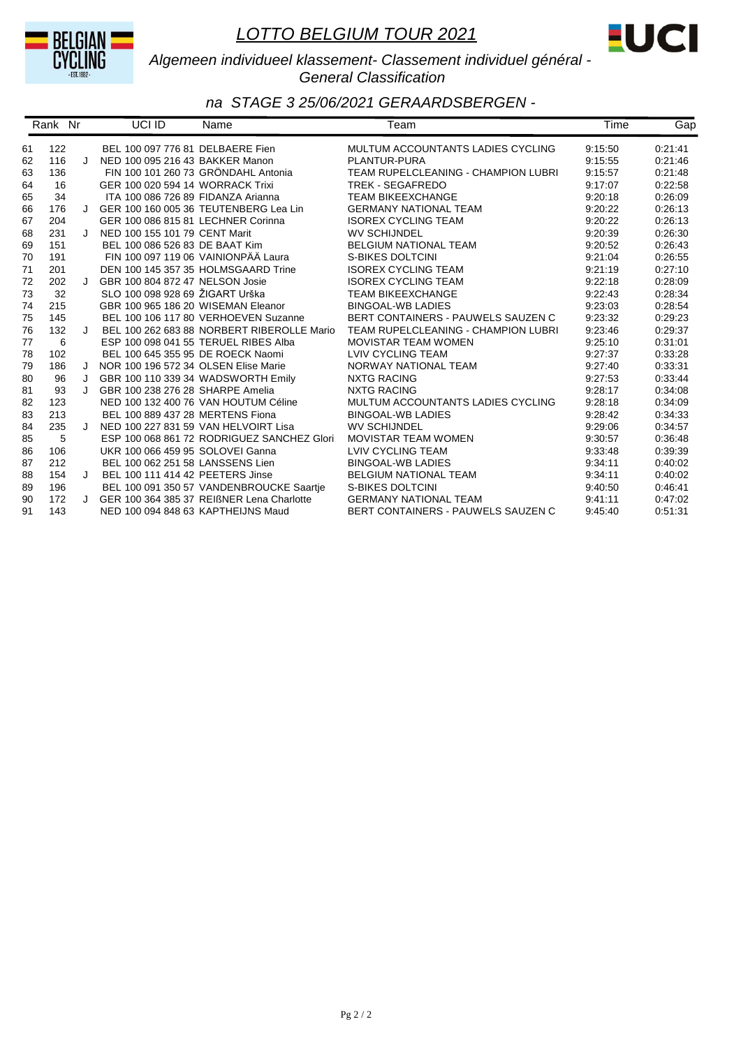



#### *Algemeen individueel klassement- Classement individuel général - General Classification*

|    | Rank Nr |         | UCI ID                               | Name                                       | Team                                | Time    | Gap     |
|----|---------|---------|--------------------------------------|--------------------------------------------|-------------------------------------|---------|---------|
| 61 | 122     |         | BEL 100 097 776 81 DELBAERE Fien     |                                            | MULTUM ACCOUNTANTS LADIES CYCLING   | 9:15:50 | 0:21:41 |
| 62 | 116     | $\cdot$ | NED 100 095 216 43 BAKKER Manon      |                                            | PLANTUR-PURA                        | 9:15:55 | 0:21:46 |
| 63 | 136     |         |                                      | FIN 100 101 260 73 GRÖNDAHL Antonia        | TEAM RUPELCLEANING - CHAMPION LUBRI | 9:15:57 | 0:21:48 |
| 64 | 16      |         | GER 100 020 594 14 WORRACK Trixi     |                                            | <b>TREK - SEGAFREDO</b>             | 9:17:07 | 0:22:58 |
| 65 | 34      |         | ITA 100 086 726 89 FIDANZA Arianna   |                                            | <b>TEAM BIKEEXCHANGE</b>            | 9:20:18 | 0:26:09 |
| 66 | 176     | $\cdot$ |                                      | GER 100 160 005 36 TEUTENBERG Lea Lin      | <b>GERMANY NATIONAL TEAM</b>        | 9:20:22 | 0:26:13 |
| 67 | 204     |         | GER 100 086 815 81 LECHNER Corinna   |                                            | <b>ISOREX CYCLING TEAM</b>          | 9:20:22 | 0:26:13 |
| 68 | 231     | $\cdot$ | NED 100 155 101 79 CENT Marit        |                                            | <b>WV SCHIJNDEL</b>                 | 9:20:39 | 0:26:30 |
| 69 | 151     |         | BEL 100 086 526 83 DE BAAT Kim       |                                            | <b>BELGIUM NATIONAL TEAM</b>        | 9:20:52 | 0:26:43 |
| 70 | 191     |         |                                      | FIN 100 097 119 06 VAINIONPÄÄ Laura        | S-BIKES DOLTCINI                    | 9:21:04 | 0:26:55 |
| 71 | 201     |         |                                      | DEN 100 145 357 35 HOLMSGAARD Trine        | <b>ISOREX CYCLING TEAM</b>          | 9:21:19 | 0:27:10 |
| 72 | 202     | $\cdot$ | GBR 100 804 872 47 NELSON Josie      |                                            | <b>ISOREX CYCLING TEAM</b>          | 9:22:18 | 0:28:09 |
| 73 | 32      |         | SLO 100 098 928 69 ŽIGART Urška      |                                            | <b>TEAM BIKEEXCHANGE</b>            | 9:22:43 | 0:28:34 |
| 74 | 215     |         | GBR 100 965 186 20 WISEMAN Eleanor   |                                            | <b>BINGOAL-WB LADIES</b>            | 9:23:03 | 0:28:54 |
| 75 | 145     |         |                                      | BEL 100 106 117 80 VERHOEVEN Suzanne       | BERT CONTAINERS - PAUWELS SAUZEN C  | 9:23:32 | 0:29:23 |
| 76 | 132     | J       |                                      | BEL 100 262 683 88 NORBERT RIBEROLLE Mario | TEAM RUPELCLEANING - CHAMPION LUBRI | 9:23:46 | 0:29:37 |
| 77 | 6       |         |                                      | ESP 100 098 041 55 TERUEL RIBES Alba       | <b>MOVISTAR TEAM WOMEN</b>          | 9:25:10 | 0:31:01 |
| 78 | 102     |         | BEL 100 645 355 95 DE ROECK Naomi    |                                            | LVIV CYCLING TEAM                   | 9:27:37 | 0:33:28 |
| 79 | 186     | J       | NOR 100 196 572 34 OLSEN Elise Marie |                                            | NORWAY NATIONAL TEAM                | 9:27:40 | 0:33:31 |
| 80 | 96      | J       |                                      | GBR 100 110 339 34 WADSWORTH Emily         | <b>NXTG RACING</b>                  | 9:27:53 | 0:33:44 |
| 81 | 93      | J       | GBR 100 238 276 28 SHARPE Amelia     |                                            | <b>NXTG RACING</b>                  | 9:28:17 | 0:34:08 |
| 82 | 123     |         |                                      | NED 100 132 400 76 VAN HOUTUM Céline       | MULTUM ACCOUNTANTS LADIES CYCLING   | 9:28:18 | 0:34:09 |
| 83 | 213     |         | BEL 100 889 437 28 MERTENS Fiona     |                                            | <b>BINGOAL-WB LADIES</b>            | 9:28:42 | 0:34:33 |
| 84 | 235     | $\cdot$ |                                      | NED 100 227 831 59 VAN HELVOIRT Lisa       | <b>WV SCHIJNDEL</b>                 | 9:29:06 | 0:34:57 |
| 85 | 5       |         |                                      | ESP 100 068 861 72 RODRIGUEZ SANCHEZ Glori | <b>MOVISTAR TEAM WOMEN</b>          | 9:30:57 | 0:36:48 |
| 86 | 106     |         | UKR 100 066 459 95 SOLOVEI Ganna     |                                            | LVIV CYCLING TEAM                   | 9:33:48 | 0:39:39 |
| 87 | 212     |         | BEL 100 062 251 58 LANSSENS Lien     |                                            | <b>BINGOAL-WB LADIES</b>            | 9:34:11 | 0:40:02 |
| 88 | 154     | $\cdot$ | BEL 100 111 414 42 PEETERS Jinse     |                                            | <b>BELGIUM NATIONAL TEAM</b>        | 9:34:11 | 0:40:02 |
| 89 | 196     |         |                                      | BEL 100 091 350 57 VANDENBROUCKE Saartje   | S-BIKES DOLTCINI                    | 9:40:50 | 0.46.41 |
| 90 | 172     |         |                                      | GER 100 364 385 37 REIBNER Lena Charlotte  | <b>GERMANY NATIONAL TEAM</b>        | 9:41:11 | 0:47:02 |
| 91 | 143     |         | NED 100 094 848 63 KAPTHEIJNS Maud   |                                            | BERT CONTAINERS - PAUWELS SAUZEN C  | 9:45:40 | 0.51.31 |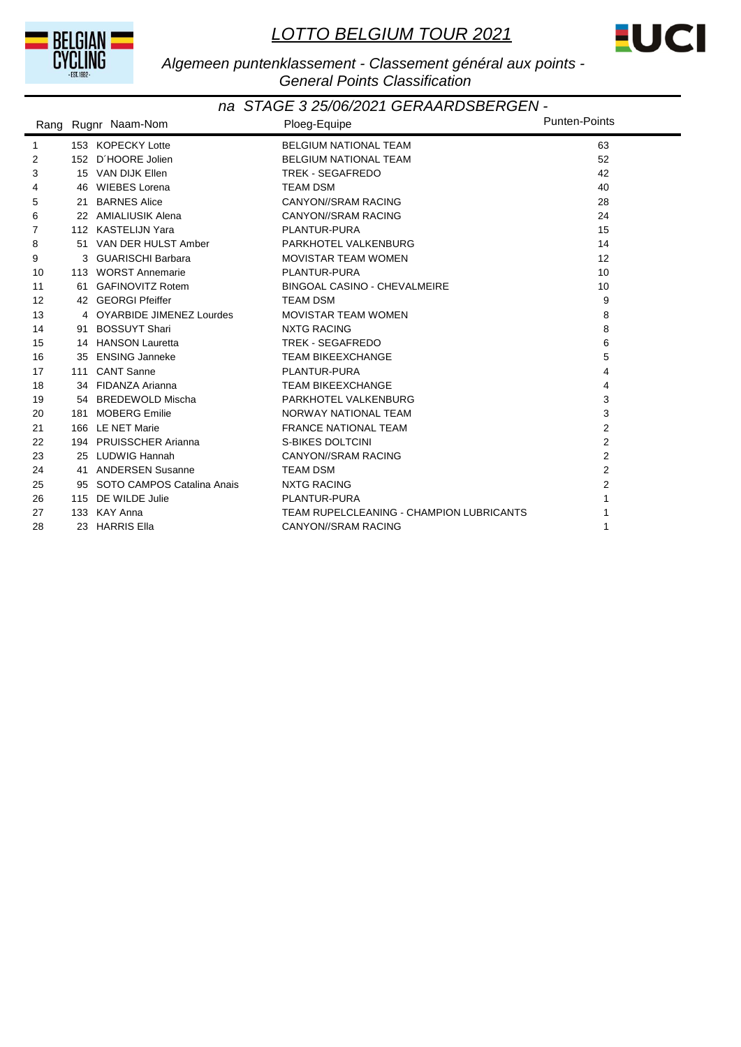



#### *Algemeen puntenklassement - Classement général aux points - General Points Classification*

|                   |     | Rang Rugnr Naam-Nom           | Ploeg-Equipe                             | Punten-Points  |
|-------------------|-----|-------------------------------|------------------------------------------|----------------|
| 1                 |     | 153 KOPECKY Lotte             | <b>BELGIUM NATIONAL TEAM</b>             | 63             |
| 2                 |     | 152 D'HOORE Jolien            | <b>BELGIUM NATIONAL TEAM</b>             | 52             |
| 3                 |     | 15 VAN DIJK Ellen             | <b>TREK - SEGAFREDO</b>                  | 42             |
| 4                 |     | 46 WIEBES Lorena              | <b>TEAM DSM</b>                          | 40             |
| 5                 |     | 21 BARNES Alice               | CANYON//SRAM RACING                      | 28             |
| 6                 |     | 22 AMIALIUSIK Alena           | CANYON//SRAM RACING                      | 24             |
| 7                 |     | 112 KASTELIJN Yara            | <b>PLANTUR-PURA</b>                      | 15             |
| 8                 |     | 51 VAN DER HULST Amber        | PARKHOTEL VALKENBURG                     | 14             |
| 9                 |     | 3 GUARISCHI Barbara           | <b>MOVISTAR TEAM WOMEN</b>               | 12             |
| 10                |     | 113 WORST Annemarie           | PLANTUR-PURA                             | 10             |
| 11                |     | 61 GAFINOVITZ Rotem           | BINGOAL CASINO - CHEVALMEIRE             | 10             |
| $12 \overline{ }$ |     | 42 GEORGI Pfeiffer            | <b>TEAM DSM</b>                          | 9              |
| 13                |     | 4 OYARBIDE JIMENEZ Lourdes    | <b>MOVISTAR TEAM WOMEN</b>               | 8              |
| 14                |     | 91 BOSSUYT Shari              | <b>NXTG RACING</b>                       | 8              |
| 15                |     | 14 HANSON Lauretta            | TREK - SEGAFREDO                         | 6              |
| 16                |     | 35 ENSING Janneke             | <b>TEAM BIKEEXCHANGE</b>                 | 5              |
| 17                |     | 111 CANT Sanne                | PLANTUR-PURA                             | 4              |
| 18                |     | 34 FIDANZA Arianna            | <b>TEAM BIKEEXCHANGE</b>                 | 4              |
| 19                |     | 54 BREDEWOLD Mischa           | PARKHOTEL VALKENBURG                     | 3              |
| 20                |     | 181 MOBERG Emilie             | NORWAY NATIONAL TEAM                     | 3              |
| 21                |     | 166 LE NET Marie              | <b>FRANCE NATIONAL TEAM</b>              | $\overline{2}$ |
| 22                |     | 194 PRUISSCHER Arianna        | <b>S-BIKES DOLTCINI</b>                  | $\overline{2}$ |
| 23                |     | 25 LUDWIG Hannah              | CANYON//SRAM RACING                      | 2              |
| 24                |     | 41 ANDERSEN Susanne           | <b>TEAM DSM</b>                          | $\overline{2}$ |
| 25                |     | 95 SOTO CAMPOS Catalina Anais | <b>NXTG RACING</b>                       | $\overline{2}$ |
| 26                | 115 | DE WILDE Julie                | PLANTUR-PURA                             |                |
| 27                |     | 133 KAY Anna                  | TEAM RUPELCLEANING - CHAMPION LUBRICANTS |                |
| 28                |     | 23 HARRIS Ella                | <b>CANYON//SRAM RACING</b>               | 1              |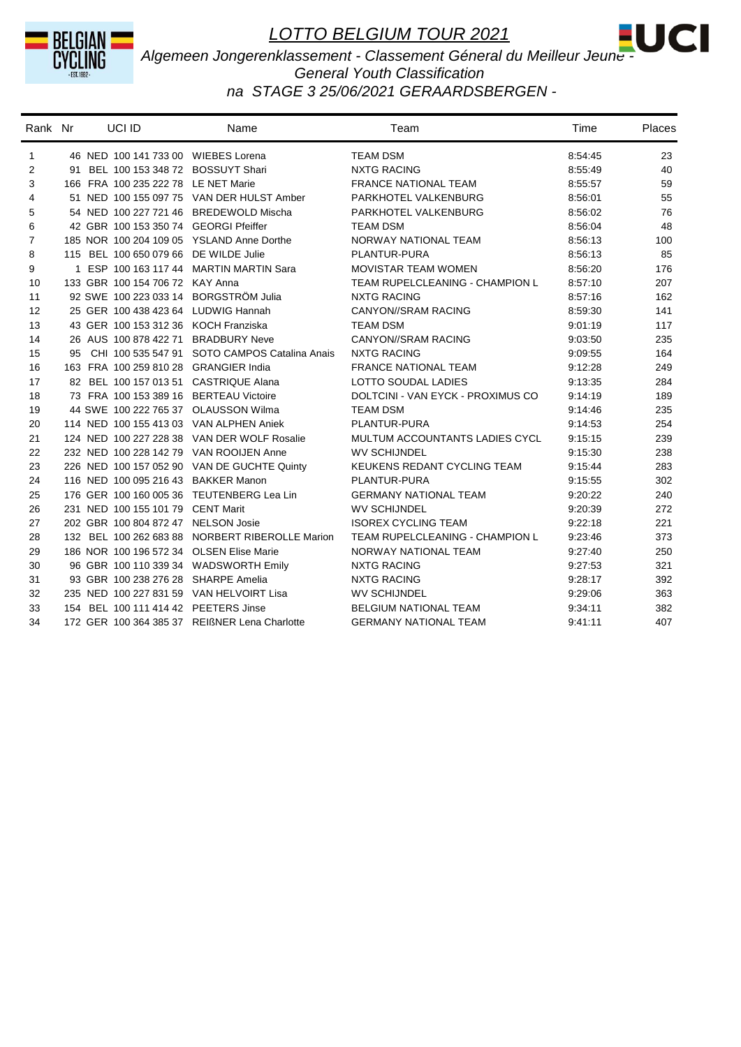



*Algemeen Jongerenklassement - Classement Géneral du Meilleur Jeune -* 

#### *General Youth Classification na STAGE 3 25/06/2021 GERAARDSBERGEN -*

| Rank Nr        | UCI ID                                    | Name                                             | Team                              | Time    | Places |
|----------------|-------------------------------------------|--------------------------------------------------|-----------------------------------|---------|--------|
| 1              | 46 NED 100 141 733 00 WIEBES Lorena       |                                                  | <b>TEAM DSM</b>                   | 8:54:45 | 23     |
| 2              | 91 BEL 100 153 348 72 BOSSUYT Shari       |                                                  | <b>NXTG RACING</b>                | 8:55:49 | 40     |
| 3              | 166 FRA 100 235 222 78 LE NET Marie       |                                                  | <b>FRANCE NATIONAL TEAM</b>       | 8.55.57 | 59     |
| 4              |                                           | 51 NED 100 155 097 75 VAN DER HULST Amber        | PARKHOTEL VALKENBURG              | 8:56:01 | 55     |
| 5              | 54 NED 100 227 721 46 BREDEWOLD Mischa    |                                                  | PARKHOTEL VALKENBURG              | 8:56:02 | 76     |
| 6              | 42 GBR 100 153 350 74 GEORGI Pfeiffer     |                                                  | <b>TEAM DSM</b>                   | 8:56:04 | 48     |
| $\overline{7}$ | 185 NOR 100 204 109 05 YSLAND Anne Dorthe |                                                  | NORWAY NATIONAL TEAM              | 8:56:13 | 100    |
| 8              | 115 BEL 100 650 079 66 DE WILDE Julie     |                                                  | PLANTUR-PURA                      | 8:56:13 | 85     |
| 9              |                                           | 1 ESP 100 163 117 44 MARTIN MARTIN Sara          | <b>MOVISTAR TEAM WOMEN</b>        | 8:56:20 | 176    |
| 10             | 133 GBR 100 154 706 72 KAY Anna           |                                                  | TEAM RUPELCLEANING - CHAMPION L   | 8.57.10 | 207    |
| 11             | 92 SWE 100 223 033 14 BORGSTRÖM Julia     |                                                  | <b>NXTG RACING</b>                | 8:57:16 | 162    |
| 12             | 25 GER 100 438 423 64 LUDWIG Hannah       |                                                  | <b>CANYON//SRAM RACING</b>        | 8:59:30 | 141    |
| 13             | 43 GER 100 153 312 36 KOCH Franziska      |                                                  | <b>TEAM DSM</b>                   | 9:01:19 | 117    |
| 14             | 26 AUS 100 878 422 71 BRADBURY Neve       |                                                  | CANYON//SRAM RACING               | 9:03:50 | 235    |
| 15             |                                           | 95 CHI 100 535 547 91 SOTO CAMPOS Catalina Anais | <b>NXTG RACING</b>                | 9:09:55 | 164    |
| 16             | 163 FRA 100 259 810 28 GRANGIER India     |                                                  | <b>FRANCE NATIONAL TEAM</b>       | 9:12:28 | 249    |
| 17             | 82 BEL 100 157 013 51 CASTRIQUE Alana     |                                                  | LOTTO SOUDAL LADIES               | 9:13:35 | 284    |
| 18             | 73 FRA 100 153 389 16 BERTEAU Victoire    |                                                  | DOLTCINI - VAN EYCK - PROXIMUS CO | 9:14:19 | 189    |
| 19             | 44 SWE 100 222 765 37 OLAUSSON Wilma      |                                                  | <b>TEAM DSM</b>                   | 9:14:46 | 235    |
| 20             | 114 NED 100 155 413 03 VAN ALPHEN Aniek   |                                                  | PLANTUR-PURA                      | 9:14:53 | 254    |
| 21             |                                           | 124 NED 100 227 228 38 VAN DER WOLF Rosalie      | MULTUM ACCOUNTANTS LADIES CYCL    | 9:15:15 | 239    |
| 22             | 232 NED 100 228 142 79 VAN ROOIJEN Anne   |                                                  | <b>WV SCHIJNDEL</b>               | 9:15:30 | 238    |
| 23             |                                           | 226 NED 100 157 052 90 VAN DE GUCHTE Quinty      | KEUKENS REDANT CYCLING TEAM       | 9:15:44 | 283    |
| 24             | 116 NED 100 095 216 43 BAKKER Manon       |                                                  | PLANTUR-PURA                      | 9.15.55 | 302    |
| 25             | 176 GER 100 160 005 36 TEUTENBERG Lea Lin |                                                  | <b>GERMANY NATIONAL TEAM</b>      | 9:20:22 | 240    |
| 26             | 231 NED 100 155 101 79 CENT Marit         |                                                  | <b>WV SCHIJNDEL</b>               | 9:20:39 | 272    |
| 27             | 202 GBR 100 804 872 47 NELSON Josie       |                                                  | <b>ISOREX CYCLING TEAM</b>        | 9:22:18 | 221    |
| 28             |                                           | 132 BEL 100 262 683 88 NORBERT RIBEROLLE Marion  | TEAM RUPELCLEANING - CHAMPION L   | 9:23:46 | 373    |
| 29             | 186 NOR 100 196 572 34 OLSEN Elise Marie  |                                                  | NORWAY NATIONAL TEAM              | 9:27:40 | 250    |
| 30             | 96 GBR 100 110 339 34 WADSWORTH Emily     |                                                  | <b>NXTG RACING</b>                | 9:27:53 | 321    |
| 31             | 93 GBR 100 238 276 28 SHARPE Amelia       |                                                  | <b>NXTG RACING</b>                | 9:28:17 | 392    |
| 32             | 235 NED 100 227 831 59 VAN HELVOIRT Lisa  |                                                  | <b>WV SCHIJNDEL</b>               | 9:29:06 | 363    |
| 33             | 154 BEL 100 111 414 42 PEETERS Jinse      |                                                  | <b>BELGIUM NATIONAL TEAM</b>      | 9:34:11 | 382    |
| 34             |                                           | 172 GER 100 364 385 37 REIßNER Lena Charlotte    | <b>GERMANY NATIONAL TEAM</b>      | 9.41:11 | 407    |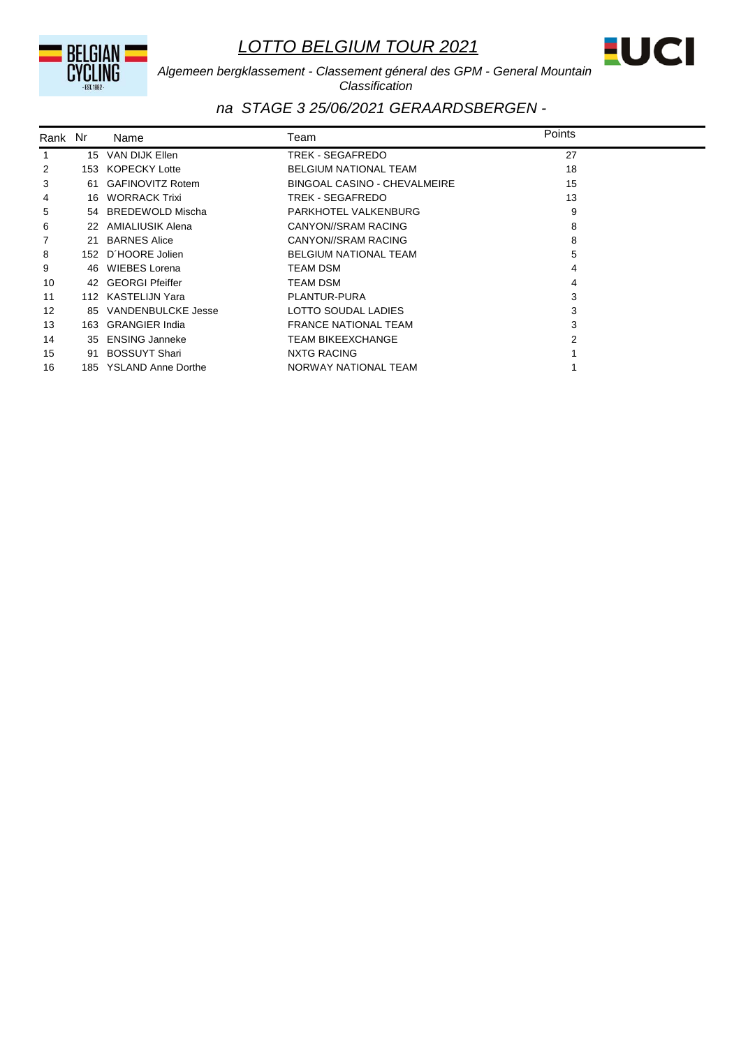BELGIAN

# *LOTTO BELGIUM TOUR 2021*



*Algemeen bergklassement - Classement géneral des GPM - General Mountain Classification*

| Rank Nr |    | Name                   | Team                         | Points |  |
|---------|----|------------------------|------------------------------|--------|--|
| 1       |    | 15 VAN DIJK Ellen      | TREK - SEGAFREDO             | 27     |  |
| 2       |    | 153 KOPECKY Lotte      | BELGIUM NATIONAL TEAM        | 18     |  |
| 3       |    | 61 GAFINOVITZ Rotem    | BINGOAL CASINO - CHEVALMEIRE | 15     |  |
| 4       | 16 | <b>WORRACK Trixi</b>   | TREK - SEGAFREDO             | 13     |  |
| 5       |    | 54 BREDEWOLD Mischa    | PARKHOTEL VALKENBURG         | 9      |  |
| 6       |    | 22 AMIALIUSIK Alena    | CANYON//SRAM RACING          | 8      |  |
| 7       | 21 | <b>BARNES Alice</b>    | CANYON//SRAM RACING          | 8      |  |
| 8       |    | 152 D'HOORE Jolien     | <b>BELGIUM NATIONAL TEAM</b> | 5      |  |
| 9       | 46 | WIEBES Lorena          | TEAM DSM                     |        |  |
| 10      |    | 42 GEORGI Pfeiffer     | <b>TEAM DSM</b>              | 4      |  |
| 11      |    | 112 KASTELIJN Yara     | PLANTUR-PURA                 | 3      |  |
| 12      |    | 85 VANDENBULCKE Jesse  | LOTTO SOUDAL LADIES          | 3      |  |
| 13      |    | 163 GRANGIER India     | <b>FRANCE NATIONAL TEAM</b>  | 3      |  |
| 14      | 35 | <b>ENSING Janneke</b>  | <b>TEAM BIKEEXCHANGE</b>     |        |  |
| 15      | 91 | <b>BOSSUYT Shari</b>   | NXTG RACING                  |        |  |
| 16      |    | 185 YSLAND Anne Dorthe | NORWAY NATIONAL TEAM         |        |  |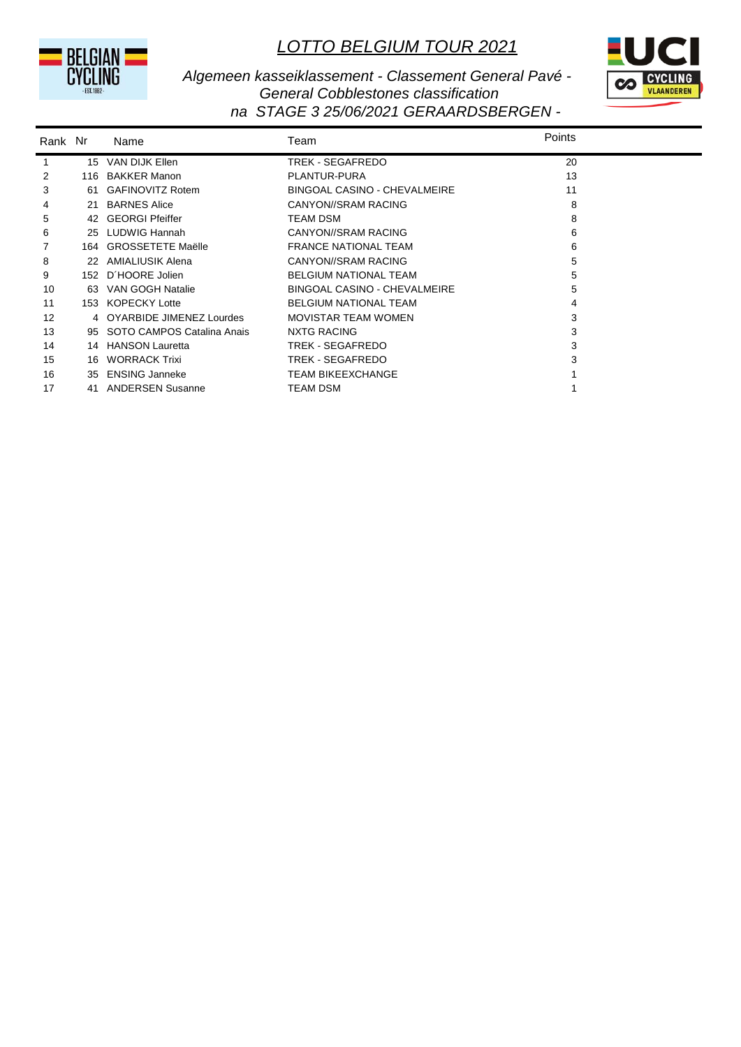



*Algemeen kasseiklassement - Classement General Pavé - General Cobblestones classification na STAGE 3 25/06/2021 GERAARDSBERGEN -* 

| Rank Nr |     | Name                       | Team                         | Points |
|---------|-----|----------------------------|------------------------------|--------|
| 1       |     | 15 VAN DIJK Ellen          | TREK - SEGAFREDO             | 20     |
| 2       | 116 | <b>BAKKER Manon</b>        | PLANTUR-PURA                 | 13     |
| 3       | -61 | <b>GAFINOVITZ Rotem</b>    | BINGOAL CASINO - CHEVALMEIRE | 11     |
| 4       | 21  | <b>BARNES Alice</b>        | CANYON//SRAM RACING          | 8      |
| 5       | 42  | <b>GEORGI Pfeiffer</b>     | <b>TEAM DSM</b>              | 8      |
| 6       | 25  | <b>LUDWIG Hannah</b>       | CANYON//SRAM RACING          | 6      |
|         |     | 164 GROSSETETE Maëlle      | <b>FRANCE NATIONAL TEAM</b>  | 6      |
| 8       | 22  | AMIALIUSIK Alena           | CANYON//SRAM RACING          | 5      |
| 9       |     | 152 D'HOORE Jolien         | <b>BELGIUM NATIONAL TEAM</b> | 5      |
| 10      | 63  | VAN GOGH Natalie           | BINGOAL CASINO - CHEVALMEIRE | 5      |
| 11      | 153 | <b>KOPECKY Lotte</b>       | <b>BELGIUM NATIONAL TEAM</b> | 4      |
| 12      | 4   | OYARBIDE JIMENEZ Lourdes   | <b>MOVISTAR TEAM WOMEN</b>   | 3      |
| 13      | 95  | SOTO CAMPOS Catalina Anais | NXTG RACING                  | 3      |
| 14      | 14  | <b>HANSON Lauretta</b>     | TREK - SEGAFREDO             | 3      |
| 15      | 16  | <b>WORRACK Trixi</b>       | TREK - SEGAFREDO             | 3      |
| 16      | 35  | <b>ENSING Janneke</b>      | <b>TEAM BIKEEXCHANGE</b>     |        |
| 17      | 41  | <b>ANDERSEN Susanne</b>    | <b>TEAM DSM</b>              |        |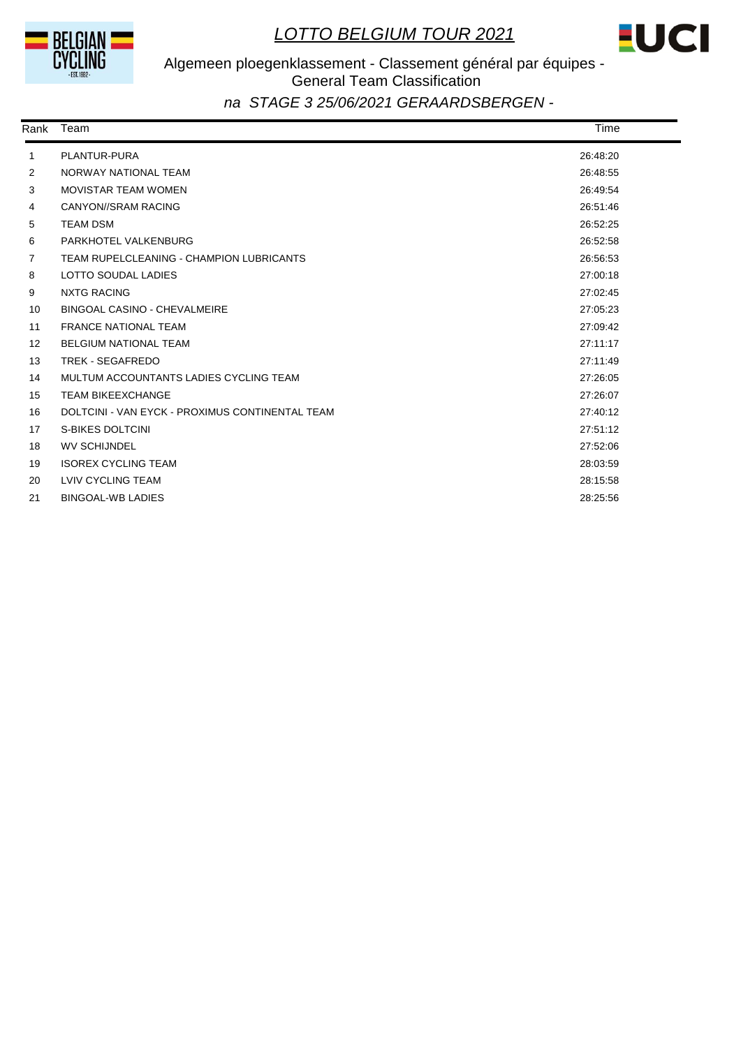



# Algemeen ploegenklassement - Classement général par équipes - General Team Classification

| Rank              | Team                                            | Time     |  |
|-------------------|-------------------------------------------------|----------|--|
| 1                 | PLANTUR-PURA                                    | 26:48:20 |  |
| 2                 | NORWAY NATIONAL TEAM                            | 26:48:55 |  |
| 3                 | <b>MOVISTAR TEAM WOMEN</b>                      | 26:49:54 |  |
| 4                 | CANYON//SRAM RACING                             | 26:51:46 |  |
| 5                 | <b>TEAM DSM</b>                                 | 26:52:25 |  |
| 6                 | PARKHOTEL VALKENBURG                            | 26:52:58 |  |
| $\overline{7}$    | TEAM RUPELCLEANING - CHAMPION LUBRICANTS        | 26:56:53 |  |
| 8                 | LOTTO SOUDAL LADIES                             | 27:00:18 |  |
| 9                 | <b>NXTG RACING</b>                              | 27:02:45 |  |
| 10                | BINGOAL CASINO - CHEVALMEIRE                    | 27:05:23 |  |
| 11                | <b>FRANCE NATIONAL TEAM</b>                     | 27:09:42 |  |
| $12 \overline{ }$ | <b>BELGIUM NATIONAL TEAM</b>                    | 27:11:17 |  |
| 13                | <b>TREK - SEGAFREDO</b>                         | 27:11:49 |  |
| 14                | MULTUM ACCOUNTANTS LADIES CYCLING TEAM          | 27:26:05 |  |
| 15                | <b>TEAM BIKEEXCHANGE</b>                        | 27:26:07 |  |
| 16                | DOLTCINI - VAN EYCK - PROXIMUS CONTINENTAL TEAM | 27:40:12 |  |
| 17                | <b>S-BIKES DOLTCINI</b>                         | 27:51:12 |  |
| 18                | <b>WV SCHIJNDEL</b>                             | 27:52:06 |  |
| 19                | <b>ISOREX CYCLING TEAM</b>                      | 28:03:59 |  |
| 20                | <b>LVIV CYCLING TEAM</b>                        | 28:15:58 |  |
| 21                | <b>BINGOAL-WB LADIES</b>                        | 28:25:56 |  |
|                   |                                                 |          |  |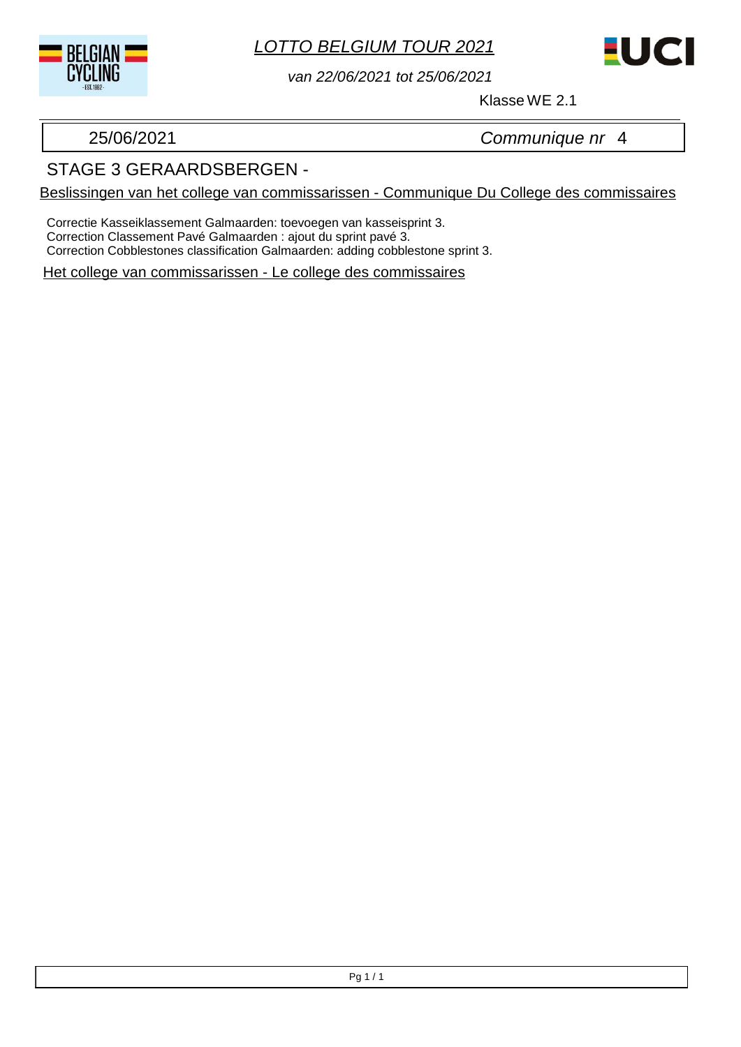



*van 22/06/2021 tot 25/06/2021*

Klasse WE 2.1

25/06/2021 *Communique nr* 4

## STAGE 3 GERAARDSBERGEN -

Beslissingen van het college van commissarissen - Communique Du College des commissaires

Correctie Kasseiklassement Galmaarden: toevoegen van kasseisprint 3. Correction Classement Pavé Galmaarden : ajout du sprint pavé 3. Correction Cobblestones classification Galmaarden: adding cobblestone sprint 3.

Het college van commissarissen - Le college des commissaires